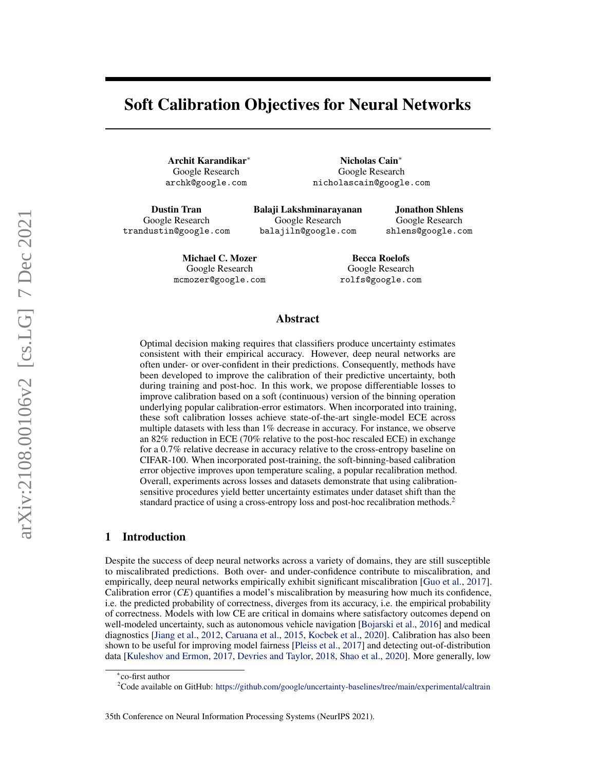# Soft Calibration Objectives for Neural Networks

Archit Karandikar<sup>∗</sup> Google Research archk@google.com

Nicholas Cain<sup>∗</sup> Google Research nicholascain@google.com

Dustin Tran Google Research trandustin@google.com Balaji Lakshminarayanan Google Research balajiln@google.com

Jonathon Shlens Google Research shlens@google.com

Michael C. Mozer Google Research mcmozer@google.com

Becca Roelofs Google Research rolfs@google.com

## Abstract

Optimal decision making requires that classifiers produce uncertainty estimates consistent with their empirical accuracy. However, deep neural networks are often under- or over-confident in their predictions. Consequently, methods have been developed to improve the calibration of their predictive uncertainty, both during training and post-hoc. In this work, we propose differentiable losses to improve calibration based on a soft (continuous) version of the binning operation underlying popular calibration-error estimators. When incorporated into training, these soft calibration losses achieve state-of-the-art single-model ECE across multiple datasets with less than 1% decrease in accuracy. For instance, we observe an 82% reduction in ECE (70% relative to the post-hoc rescaled ECE) in exchange for a 0.7% relative decrease in accuracy relative to the cross-entropy baseline on CIFAR-100. When incorporated post-training, the soft-binning-based calibration error objective improves upon temperature scaling, a popular recalibration method. Overall, experiments across losses and datasets demonstrate that using calibrationsensitive procedures yield better uncertainty estimates under dataset shift than the standard practice of using a cross-entropy loss and post-hoc recalibration methods.<sup>[2](#page-0-0)</sup>

## 1 Introduction

Despite the success of deep neural networks across a variety of domains, they are still susceptible to miscalibrated predictions. Both over- and under-confidence contribute to miscalibration, and empirically, deep neural networks empirically exhibit significant miscalibration [\[Guo et al.,](#page-10-0) [2017\]](#page-10-0). Calibration error (*CE*) quantifies a model's miscalibration by measuring how much its confidence, i.e. the predicted probability of correctness, diverges from its accuracy, i.e. the empirical probability of correctness. Models with low CE are critical in domains where satisfactory outcomes depend on well-modeled uncertainty, such as autonomous vehicle navigation [\[Bojarski et al.,](#page-10-1) [2016\]](#page-10-1) and medical diagnostics [\[Jiang et al.,](#page-10-2) [2012,](#page-10-2) [Caruana et al.,](#page-10-3) [2015,](#page-10-3) [Kocbek et al.,](#page-10-4) [2020\]](#page-10-4). Calibration has also been shown to be useful for improving model fairness [\[Pleiss et al.,](#page-11-0) [2017\]](#page-11-0) and detecting out-of-distribution data [\[Kuleshov and Ermon,](#page-10-5) [2017,](#page-10-5) [Devries and Taylor,](#page-10-6) [2018,](#page-10-6) [Shao et al.,](#page-11-1) [2020\]](#page-11-1). More generally, low

<sup>∗</sup> co-first author

<span id="page-0-0"></span><sup>&</sup>lt;sup>2</sup>Code available on GitHub: <https://github.com/google/uncertainty-baselines/tree/main/experimental/caltrain>

<sup>35</sup>th Conference on Neural Information Processing Systems (NeurIPS 2021).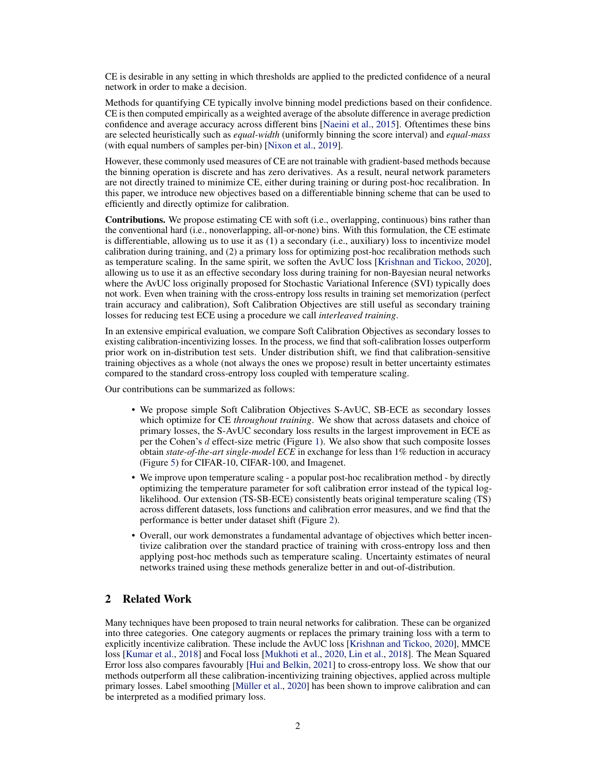CE is desirable in any setting in which thresholds are applied to the predicted confidence of a neural network in order to make a decision.

Methods for quantifying CE typically involve binning model predictions based on their confidence. CE is then computed empirically as a weighted average of the absolute difference in average prediction confidence and average accuracy across different bins [\[Naeini et al.,](#page-11-2) [2015\]](#page-11-2). Oftentimes these bins are selected heuristically such as *equal-width* (uniformly binning the score interval) and *equal-mass* (with equal numbers of samples per-bin) [\[Nixon et al.,](#page-11-3) [2019\]](#page-11-3).

However, these commonly used measures of CE are not trainable with gradient-based methods because the binning operation is discrete and has zero derivatives. As a result, neural network parameters are not directly trained to minimize CE, either during training or during post-hoc recalibration. In this paper, we introduce new objectives based on a differentiable binning scheme that can be used to efficiently and directly optimize for calibration.

Contributions. We propose estimating CE with soft (i.e., overlapping, continuous) bins rather than the conventional hard (i.e., nonoverlapping, all-or-none) bins. With this formulation, the CE estimate is differentiable, allowing us to use it as (1) a secondary (i.e., auxiliary) loss to incentivize model calibration during training, and (2) a primary loss for optimizing post-hoc recalibration methods such as temperature scaling. In the same spirit, we soften the AvUC loss [\[Krishnan and Tickoo,](#page-10-7) [2020\]](#page-10-7), allowing us to use it as an effective secondary loss during training for non-Bayesian neural networks where the AvUC loss originally proposed for Stochastic Variational Inference (SVI) typically does not work. Even when training with the cross-entropy loss results in training set memorization (perfect train accuracy and calibration), Soft Calibration Objectives are still useful as secondary training losses for reducing test ECE using a procedure we call *interleaved training*.

In an extensive empirical evaluation, we compare Soft Calibration Objectives as secondary losses to existing calibration-incentivizing losses. In the process, we find that soft-calibration losses outperform prior work on in-distribution test sets. Under distribution shift, we find that calibration-sensitive training objectives as a whole (not always the ones we propose) result in better uncertainty estimates compared to the standard cross-entropy loss coupled with temperature scaling.

Our contributions can be summarized as follows:

- We propose simple Soft Calibration Objectives S-AvUC, SB-ECE as secondary losses which optimize for CE *throughout training*. We show that across datasets and choice of primary losses, the S-AvUC secondary loss results in the largest improvement in ECE as per the Cohen's d effect-size metric (Figure [1\)](#page-2-0). We also show that such composite losses obtain *state-of-the-art single-model ECE* in exchange for less than 1% reduction in accuracy (Figure [5\)](#page-7-0) for CIFAR-10, CIFAR-100, and Imagenet.
- We improve upon temperature scaling a popular post-hoc recalibration method by directly optimizing the temperature parameter for soft calibration error instead of the typical loglikelihood. Our extension (TS-SB-ECE) consistently beats original temperature scaling (TS) across different datasets, loss functions and calibration error measures, and we find that the performance is better under dataset shift (Figure [2\)](#page-2-1).
- Overall, our work demonstrates a fundamental advantage of objectives which better incentivize calibration over the standard practice of training with cross-entropy loss and then applying post-hoc methods such as temperature scaling. Uncertainty estimates of neural networks trained using these methods generalize better in and out-of-distribution.

# 2 Related Work

Many techniques have been proposed to train neural networks for calibration. These can be organized into three categories. One category augments or replaces the primary training loss with a term to explicitly incentivize calibration. These include the AvUC loss [\[Krishnan and Tickoo,](#page-10-7) [2020\]](#page-10-7), MMCE loss [\[Kumar et al.,](#page-10-8) [2018\]](#page-10-8) and Focal loss [\[Mukhoti et al.,](#page-11-4) [2020,](#page-11-4) [Lin et al.,](#page-11-5) [2018\]](#page-11-5). The Mean Squared Error loss also compares favourably [\[Hui and Belkin,](#page-10-9) [2021\]](#page-10-9) to cross-entropy loss. We show that our methods outperform all these calibration-incentivizing training objectives, applied across multiple primary losses. Label smoothing [\[Müller et al.,](#page-11-6) [2020\]](#page-11-6) has been shown to improve calibration and can be interpreted as a modified primary loss.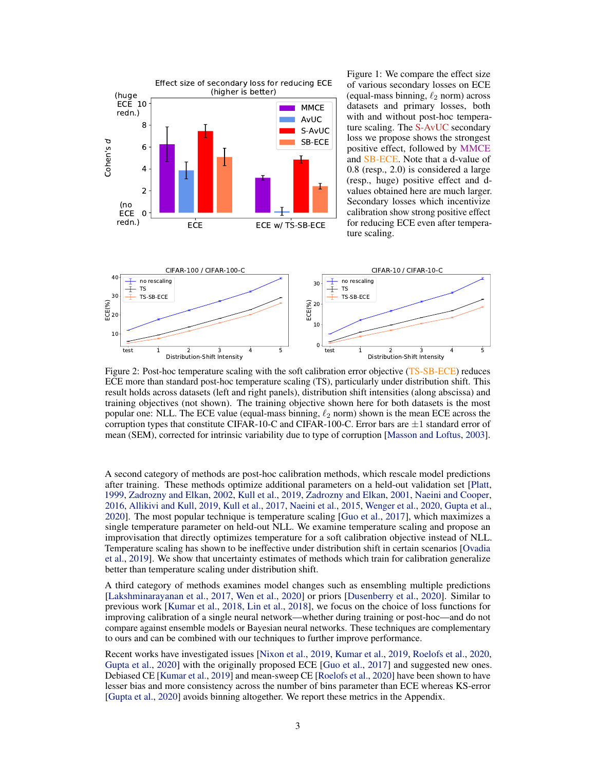

<span id="page-2-0"></span>Figure 1: We compare the effect size of various secondary losses on ECE (equal-mass binning,  $\ell_2$  norm) across datasets and primary losses, both with and without post-hoc temperature scaling. The S-AvUC secondary loss we propose shows the strongest positive effect, followed by MMCE and SB-ECE. Note that a d-value of 0.8 (resp., 2.0) is considered a large (resp., huge) positive effect and dvalues obtained here are much larger. Secondary losses which incentivize calibration show strong positive effect for reducing ECE even after temperature scaling.

<span id="page-2-1"></span>

Figure 2: Post-hoc temperature scaling with the soft calibration error objective (TS-SB-ECE) reduces ECE more than standard post-hoc temperature scaling (TS), particularly under distribution shift. This result holds across datasets (left and right panels), distribution shift intensities (along abscissa) and training objectives (not shown). The training objective shown here for both datasets is the most popular one: NLL. The ECE value (equal-mass binning,  $\ell_2$  norm) shown is the mean ECE across the corruption types that constitute CIFAR-10-C and CIFAR-100-C. Error bars are  $\pm 1$  standard error of mean (SEM), corrected for intrinsic variability due to type of corruption [\[Masson and Loftus,](#page-11-7) [2003\]](#page-11-7).

A second category of methods are post-hoc calibration methods, which rescale model predictions after training. These methods optimize additional parameters on a held-out validation set [\[Platt,](#page-11-8) [1999,](#page-11-8) [Zadrozny and Elkan,](#page-11-9) [2002,](#page-11-9) [Kull et al.,](#page-10-10) [2019,](#page-10-10) [Zadrozny and Elkan,](#page-11-10) [2001,](#page-11-10) [Naeini and Cooper,](#page-11-11) [2016,](#page-11-11) [Allikivi and Kull,](#page-10-11) [2019,](#page-10-11) [Kull et al.,](#page-10-12) [2017,](#page-10-12) [Naeini et al.,](#page-11-2) [2015,](#page-11-2) [Wenger et al.,](#page-11-12) [2020,](#page-11-12) [Gupta et al.,](#page-10-13) [2020\]](#page-10-13). The most popular technique is temperature scaling [\[Guo et al.,](#page-10-0) [2017\]](#page-10-0), which maximizes a single temperature parameter on held-out NLL. We examine temperature scaling and propose an improvisation that directly optimizes temperature for a soft calibration objective instead of NLL. Temperature scaling has shown to be ineffective under distribution shift in certain scenarios [\[Ovadia](#page-11-13) [et al.,](#page-11-13) [2019\]](#page-11-13). We show that uncertainty estimates of methods which train for calibration generalize better than temperature scaling under distribution shift.

A third category of methods examines model changes such as ensembling multiple predictions [\[Lakshminarayanan et al.,](#page-10-14) [2017,](#page-10-14) [Wen et al.,](#page-11-14) [2020\]](#page-11-14) or priors [\[Dusenberry et al.,](#page-10-15) [2020\]](#page-10-15). Similar to previous work [\[Kumar et al.,](#page-10-8) [2018,](#page-10-8) [Lin et al.,](#page-11-5) [2018\]](#page-11-5), we focus on the choice of loss functions for improving calibration of a single neural network—whether during training or post-hoc—and do not compare against ensemble models or Bayesian neural networks. These techniques are complementary to ours and can be combined with our techniques to further improve performance.

Recent works have investigated issues [\[Nixon et al.,](#page-11-3) [2019,](#page-11-3) [Kumar et al.,](#page-10-16) [2019,](#page-10-16) [Roelofs et al.,](#page-11-15) [2020,](#page-11-15) [Gupta et al.,](#page-10-13) [2020\]](#page-10-13) with the originally proposed ECE [\[Guo et al.,](#page-10-0) [2017\]](#page-10-0) and suggested new ones. Debiased CE [\[Kumar et al.,](#page-10-16) [2019\]](#page-10-16) and mean-sweep CE [\[Roelofs et al.,](#page-11-15) [2020\]](#page-11-15) have been shown to have lesser bias and more consistency across the number of bins parameter than ECE whereas KS-error [\[Gupta et al.,](#page-10-13) [2020\]](#page-10-13) avoids binning altogether. We report these metrics in the Appendix.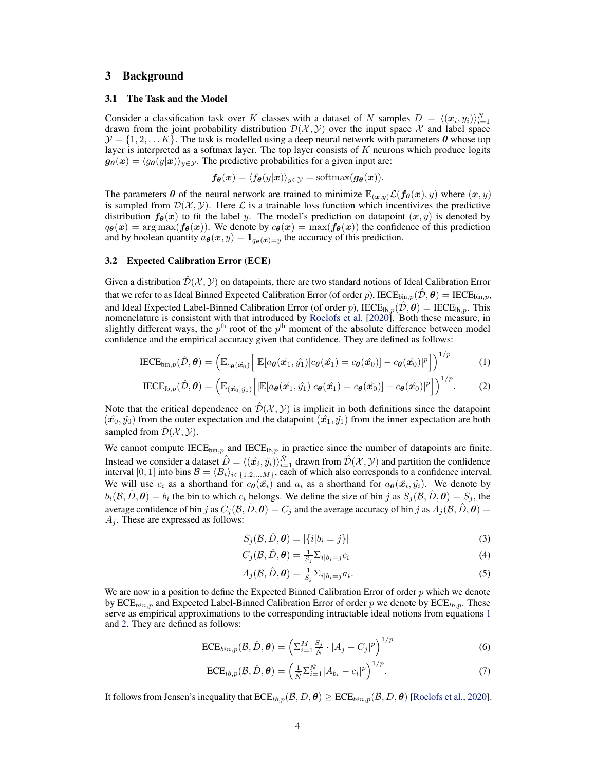#### <span id="page-3-7"></span>3 Background

#### 3.1 The Task and the Model

Consider a classification task over K classes with a dataset of N samples  $D = \langle (x_i, y_i) \rangle_{i=1}^N$ drawn from the joint probability distribution  $\mathcal{D}(\mathcal{X}, \mathcal{Y})$  over the input space X and label space  $\mathcal{Y} = \{1, 2, \dots K\}$ . The task is modelled using a deep neural network with parameters  $\boldsymbol{\theta}$  whose top layer is interpreted as a softmax layer. The top layer consists of  $K$  neurons which produce logits  $g_{\theta}(x) = \langle g_{\theta}(y|x)\rangle_{y\in\mathcal{Y}}$ . The predictive probabilities for a given input are:

$$
f_{\theta}(x) = \langle f_{\theta}(y|x) \rangle_{y \in \mathcal{Y}} = \text{softmax}(g_{\theta}(x)).
$$

The parameters  $\theta$  of the neural network are trained to minimize  $\mathbb{E}_{(x,y)} \mathcal{L}(f_{\theta}(x), y)$  where  $(x, y)$ is sampled from  $\mathcal{D}(\mathcal{X}, \mathcal{Y})$ . Here  $\mathcal{L}$  is a trainable loss function which incentivizes the predictive distribution  $f_{\theta}(x)$  to fit the label y. The model's prediction on datapoint  $(x, y)$  is denoted by  $q_{\theta}(x) = \arg \max (f_{\theta}(x))$ . We denote by  $c_{\theta}(x) = \max (f_{\theta}(x))$  the confidence of this prediction and by boolean quantity  $a_{\theta}(x, y) = \mathbf{1}_{q_{\theta}(x)=y}$  the accuracy of this prediction.

#### 3.2 Expected Calibration Error (ECE)

Given a distribution  $\mathcal{D}(\mathcal{X}, \mathcal{Y})$  on datapoints, there are two standard notions of Ideal Calibration Error that we refer to as Ideal Binned Expected Calibration Error (of order p), IECE $_{\text{bin},p}(\hat{\mathcal{D}}, \theta) = \text{IECE}_{\text{bin},p}$ , and Ideal Expected Label-Binned Calibration Error (of order p),  $\text{IECE}_{\text{lb},p}(\hat{\mathcal{D}}, \theta) = \text{IECE}_{\text{lb},p}$ . This nomenclature is consistent with that introduced by [Roelofs et al.](#page-11-15) [\[2020\]](#page-11-15). Both these measure, in slightly different ways, the  $p<sup>th</sup>$  root of the  $p<sup>th</sup>$  moment of the absolute difference between model confidence and the empirical accuracy given that confidence. They are defined as follows:

$$
\text{IECE}_{\text{bin},p}(\hat{\mathcal{D}}, \boldsymbol{\theta}) = \left( \mathbb{E}_{c_{\boldsymbol{\theta}}(\hat{\boldsymbol{x}_0})} \left[ |\mathbb{E}[a_{\boldsymbol{\theta}}(\hat{\boldsymbol{x}_1}, \hat{y_1})| c_{\boldsymbol{\theta}}(\hat{\boldsymbol{x}_1}) = c_{\boldsymbol{\theta}}(\hat{\boldsymbol{x}_0})] - c_{\boldsymbol{\theta}}(\hat{\boldsymbol{x}_0})|^p \right] \right)^{1/p}
$$
(1)

$$
\text{IECE}_{\text{lb},p}(\hat{\mathcal{D}},\boldsymbol{\theta}) = \left( \mathbb{E}_{(\hat{\boldsymbol{x}_0},\hat{\boldsymbol{y}_0})} \left[ |\mathbb{E}[a_{\boldsymbol{\theta}}(\hat{\boldsymbol{x}_1},\hat{\boldsymbol{y}_1})|c_{\boldsymbol{\theta}}(\hat{\boldsymbol{x}_1}) = c_{\boldsymbol{\theta}}(\hat{\boldsymbol{x}_0})] - c_{\boldsymbol{\theta}}(\hat{\boldsymbol{x}_0})|^p \right] \right)^{1/p}.
$$
 (2)

Note that the critical dependence on  $\mathcal{D}(\mathcal{X}, \mathcal{Y})$  is implicit in both definitions since the datapoint  $(\hat{x}_0, \hat{y}_0)$  from the outer expectation and the datapoint  $(\hat{x}_1, \hat{y}_1)$  from the inner expectation are both sampled from  $\mathcal{D}(\mathcal{X}, \mathcal{Y})$ .

We cannot compute  $\text{IECE}_{\text{bin},p}$  and  $\text{IECE}_{\text{lb},p}$  in practice since the number of datapoints are finite. Instead we consider a dataset  $\hat{D} = \langle (\hat{x_i}, \hat{y_i}) \rangle_{i=1}^{\hat{N}}$  drawn from  $\hat{\mathcal{D}}(\mathcal{X}, \mathcal{Y})$  and partition the confidence interval [0, 1] into bins  $\mathcal{B} = \langle B_i \rangle_{i \in \{1,2,...M\}}$ , each of which also corresponds to a confidence interval. We will use  $c_i$  as a shorthand for  $c_{\theta}(\hat{x}_i)$  and  $a_i$  as a shorthand for  $a_{\theta}(\hat{x}_i, \hat{y}_i)$ . We denote by  $b_i(\mathcal{B}, \hat{D}, \theta) = b_i$  the bin to which  $c_i$  belongs. We define the size of bin j as  $S_j(\mathcal{B}, \hat{D}, \theta) = S_j$ , the average confidence of bin j as  $C_j(\mathcal{B}, \hat{D}, \theta) = C_j$  and the average accuracy of bin j as  $A_j(\mathcal{B}, \hat{D}, \theta) =$  $A_i$ . These are expressed as follows:

<span id="page-3-2"></span><span id="page-3-1"></span><span id="page-3-0"></span>
$$
S_j(\mathcal{B}, \hat{D}, \theta) = |\{i|b_i = j\}| \tag{3}
$$

<span id="page-3-4"></span><span id="page-3-3"></span>
$$
C_j(\mathcal{B}, \hat{D}, \boldsymbol{\theta}) = \frac{1}{S_j} \Sigma_{i|b_i = j} c_i
$$
\n(4)

<span id="page-3-6"></span><span id="page-3-5"></span>
$$
A_j(\mathcal{B}, \hat{D}, \theta) = \frac{1}{S_j} \Sigma_{i|b_i = j} a_i.
$$
\n(5)

We are now in a position to define the Expected Binned Calibration Error of order  $p$  which we denote by ECE<sub>bin,p</sub> and Expected Label-Binned Calibration Error of order p we denote by ECE<sub>lb,p</sub>. These serve as empirical approximations to the corresponding intractable ideal notions from equations [1](#page-3-0) and [2.](#page-3-1) They are defined as follows:

$$
\text{ECE}_{bin,p}(\mathcal{B}, \hat{D}, \theta) = \left(\sum_{i=1}^{M} \frac{S_j}{\hat{N}} \cdot |A_j - C_j|^p\right)^{1/p} \tag{6}
$$

$$
\text{ECE}_{lb,p}(\mathcal{B}, \hat{D}, \theta) = \left(\frac{1}{\hat{N}} \sum_{i=1}^{\hat{N}} |A_{b_i} - c_i|^p\right)^{1/p}.
$$
 (7)

It follows from Jensen's inequality that  $ECE_{lb,p}(\mathcal{B}, D, \theta) \geq ECE_{bin,p}(\mathcal{B}, D, \theta)$  [\[Roelofs et al.,](#page-11-15) [2020\]](#page-11-15).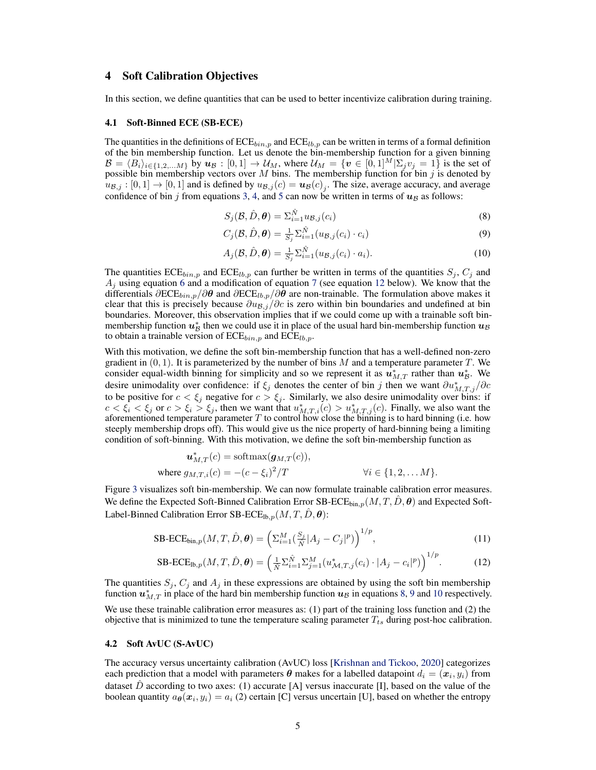### <span id="page-4-4"></span>4 Soft Calibration Objectives

In this section, we define quantities that can be used to better incentivize calibration during training.

#### <span id="page-4-6"></span>4.1 Soft-Binned ECE (SB-ECE)

The quantities in the definitions of  $\text{ECE}_{bin,p}$  and  $\text{ECE}_{lb,p}$  can be written in terms of a formal definition of the bin membership function. Let us denote the bin-membership function for a given binning  $\mathcal{B} = \langle B_i \rangle_{i \in \{1,2,...M\}}$  by  $u_{\mathcal{B}} : [0,1] \to \mathcal{U}_M$ , where  $\mathcal{U}_M = \{v \in [0,1]^M | \Sigma_j v_j = 1\}$  is the set of possible bin membership vectors over M bins. The membership function for bin j is denoted by  $u_{\mathcal{B},j} : [0,1] \to [0,1]$  and is defined by  $u_{\mathcal{B},j}(c) = u_{\mathcal{B}}(c)_{j}$ . The size, average accuracy, and average confidence of bin j from equations [3,](#page-3-2) [4,](#page-3-3) and [5](#page-3-4) can now be written in terms of  $u_B$  as follows:

<span id="page-4-2"></span><span id="page-4-1"></span>
$$
S_j(\mathcal{B}, \hat{D}, \theta) = \sum_{i=1}^{\hat{N}} u_{\mathcal{B},j}(c_i)
$$
\n(8)

$$
C_j(\mathcal{B}, \hat{D}, \boldsymbol{\theta}) = \frac{1}{S_j} \sum_{i=1}^{\hat{N}} (u_{\mathcal{B},j}(c_i) \cdot c_i)
$$
\n(9)

<span id="page-4-3"></span>
$$
A_j(\mathcal{B}, \hat{D}, \boldsymbol{\theta}) = \frac{1}{S_j} \sum_{i=1}^{\hat{N}} (u_{\mathcal{B},j}(c_i) \cdot a_i).
$$
 (10)

The quantities  $\text{ECE}_{bin,p}$  and  $\text{ECE}_{lb,p}$  can further be written in terms of the quantities  $S_j$ ,  $C_j$  and  $A_j$  using equation [6](#page-3-5) and a modification of equation [7](#page-3-6) (see equation [12](#page-4-0) below). We know that the differentials  $\partial ECE_{bin,p}/\partial \theta$  and  $\partial ECE_{lb,p}/\partial \theta$  are non-trainable. The formulation above makes it clear that this is precisely because  $\partial u_{\mathcal{B},j}/\partial c$  is zero within bin boundaries and undefined at bin boundaries. Moreover, this observation implies that if we could come up with a trainable soft binmembership function  $u_{\mathcal{B}}^*$  then we could use it in place of the usual hard bin-membership function  $u_{\mathcal{B}}$ to obtain a trainable version of  $\mathrm{ECE}_{bin,p}$  and  $\mathrm{ECE}_{lb,p}$ .

With this motivation, we define the soft bin-membership function that has a well-defined non-zero gradient in  $(0, 1)$ . It is parameterized by the number of bins M and a temperature parameter T. We consider equal-width binning for simplicity and so we represent it as  $\hat{u}_{M,T}^*$  rather than  $u_{\mathcal{B}}^*$ . We desire unimodality over confidence: if  $\xi_j$  denotes the center of bin j then we want  $\partial u_{M,T,j}^* / \partial c$ to be positive for  $c < \xi_j$  negative for  $c > \xi_j$ . Similarly, we also desire unimodality over bins: if  $c < \xi_i < \xi_j$  or  $c > \xi_i > \xi_j$ , then we want that  $u^*_{M,T,i}(c) > u^*_{M,T,j}(c)$ . Finally, we also want the aforementioned temperature parameter  $T$  to control how close the binning is to hard binning (i.e. how steeply membership drops off). This would give us the nice property of hard-binning being a limiting condition of soft-binning. With this motivation, we define the soft bin-membership function as

$$
\mathbf{u}_{M,T}^*(c) = \text{softmax}(\mathbf{g}_{M,T}(c)),
$$
  
where  $g_{M,T,i}(c) = -(c - \xi_i)^2/T$   $\forall i \in \{1, 2, \dots M\}.$ 

Figure [3](#page-5-0) visualizes soft bin-membership. We can now formulate trainable calibration error measures. We define the Expected Soft-Binned Calibration Error SB-ECE<sub>bin,p</sub> $(M, T, D, \theta)$  and Expected Soft-Label-Binned Calibration Error SB-ECE<sub>lb,p</sub> $(M, T, D, \theta)$ :

$$
\text{SB-ECE}_{\text{bin},p}(M,T,\hat{D},\boldsymbol{\theta}) = \left(\sum_{i=1}^{M} \left(\frac{S_j}{\hat{N}} |A_j - C_j|^p\right)\right)^{1/p},\tag{11}
$$

<span id="page-4-5"></span><span id="page-4-0"></span>
$$
SB- ECE_{lb,p}(M, T, \hat{D}, \theta) = \left(\frac{1}{\hat{N}} \sum_{i=1}^{\hat{N}} \sum_{j=1}^{M} (u_{\mathcal{M}, T, j}^{*}(c_i) \cdot |A_j - c_i|^p) \right)^{1/p}.
$$
 (12)

The quantities  $S_j$ ,  $C_j$  and  $A_j$  in these expressions are obtained by using the soft bin membership function  $u_{M,T}^*$  in place of the hard bin membership function  $u_B$  in equations [8,](#page-4-1) [9](#page-4-2) and [10](#page-4-3) respectively.

We use these trainable calibration error measures as: (1) part of the training loss function and (2) the objective that is minimized to tune the temperature scaling parameter  $T_{ts}$  during post-hoc calibration.

#### 4.2 Soft AvUC (S-AvUC)

The accuracy versus uncertainty calibration (AvUC) loss [\[Krishnan and Tickoo,](#page-10-7) [2020\]](#page-10-7) categorizes each prediction that a model with parameters  $\bm{\theta}$  makes for a labelled datapoint  $d_i = (\bm{x}_i, y_i)$  from dataset  $\hat{D}$  according to two axes: (1) accurate [A] versus inaccurate [I], based on the value of the boolean quantity  $a_{\theta}(x_i, y_i) = a_i$  (2) certain [C] versus uncertain [U], based on whether the entropy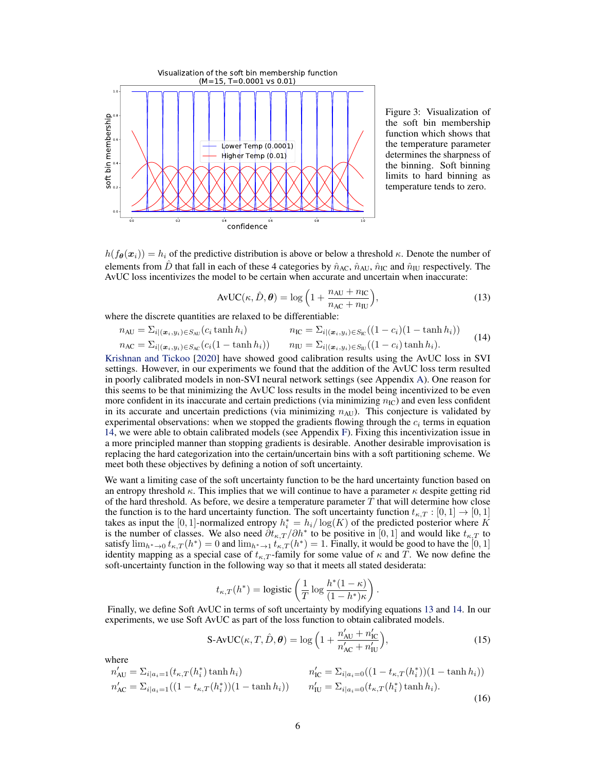

<span id="page-5-2"></span><span id="page-5-0"></span>Figure 3: Visualization of the soft bin membership function which shows that the temperature parameter determines the sharpness of the binning. Soft binning limits to hard binning as temperature tends to zero.

 $h(f_{\theta}(\boldsymbol{x}_i)) = h_i$  of the predictive distribution is above or below a threshold  $\kappa$ . Denote the number of elements from D that fall in each of these 4 categories by  $\hat{n}_{AC}$ ,  $\hat{n}_{AU}$ ,  $\hat{n}_{IC}$  and  $\hat{n}_{IU}$  respectively. The AvUC loss incentivizes the model to be certain when accurate and uncertain when inaccurate:

$$
AvUC(\kappa, \hat{D}, \theta) = \log\left(1 + \frac{n_{AU} + n_{IC}}{n_{AC} + n_{IU}}\right),\tag{13}
$$

where the discrete quantities are relaxed to be differentiable:

<span id="page-5-1"></span>
$$
n_{\text{AU}} = \sum_{i|(x_i, y_i) \in S_{\text{AU}}}(c_i \tanh h_i) \qquad n_{\text{IC}} = \sum_{i|(x_i, y_i) \in S_{\text{IC}}}((1 - c_i)(1 - \tanh h_i))
$$
  
\n
$$
n_{\text{AC}} = \sum_{i|(x_i, y_i) \in S_{\text{AC}}}(c_i(1 - \tanh h_i)) \qquad n_{\text{IU}} = \sum_{i|(x_i, y_i) \in S_{\text{IU}}}((1 - c_i)\tanh h_i).
$$
\n(14)

[Krishnan and Tickoo](#page-10-7) [\[2020\]](#page-10-7) have showed good calibration results using the AvUC loss in SVI settings. However, in our experiments we found that the addition of the AvUC loss term resulted in poorly calibrated models in non-SVI neural network settings (see Appendix [A\)](#page-12-0). One reason for this seems to be that minimizing the AvUC loss results in the model being incentivized to be even more confident in its inaccurate and certain predictions (via minimizing  $n_{\text{IC}}$ ) and even less confident in its accurate and uncertain predictions (via minimizing  $n_{AU}$ ). This conjecture is validated by experimental observations: when we stopped the gradients flowing through the  $c_i$  terms in equation [14,](#page-5-1) we were able to obtain calibrated models (see Appendix [F\)](#page-17-0). Fixing this incentivization issue in a more principled manner than stopping gradients is desirable. Another desirable improvisation is replacing the hard categorization into the certain/uncertain bins with a soft partitioning scheme. We meet both these objectives by defining a notion of soft uncertainty.

We want a limiting case of the soft uncertainty function to be the hard uncertainty function based on an entropy threshold  $\kappa$ . This implies that we will continue to have a parameter  $\kappa$  despite getting rid of the hard threshold. As before, we desire a temperature parameter  $T$  that will determine how close the function is to the hard uncertainty function. The soft uncertainty function  $t_{\kappa,T} : [0,1] \rightarrow [0,1]$ takes as input the [0, 1]-normalized entropy  $h_i^* = h_i / \log(K)$  of the predicted posterior where K is the number of classes. We also need  $\partial t_{\kappa,T}/\partial h^*$  to be positive in [0, 1] and would like  $t_{\kappa,T}$  to satisfy  $\lim_{h^* \to 0} t_{\kappa,T}(h^*) = 0$  and  $\lim_{h^* \to 1} t_{\kappa,T}(h^*) = 1$ . Finally, it would be good to have the  $[0,1]$ identity mapping as a special case of  $t_{\kappa,T}$ -family for some value of  $\kappa$  and T. We now define the soft-uncertainty function in the following way so that it meets all stated desiderata:

$$
t_{\kappa,T}(h^*) = \text{logistic}\left(\frac{1}{T}\log\frac{h^*(1-\kappa)}{(1-h^*)\kappa}\right)
$$

Finally, we define Soft AvUC in terms of soft uncertainty by modifying equations [13](#page-5-2) and [14.](#page-5-1) In our experiments, we use Soft AvUC as part of the loss function to obtain calibrated models.

$$
\text{S-AvUC}(\kappa, T, \hat{D}, \theta) = \log \left( 1 + \frac{n'_{\text{AU}} + n'_{\text{IC}}}{n'_{\text{AC}} + n'_{\text{IU}}} \right),\tag{15}
$$

.

where

$$
n'_{\text{AU}} = \sum_{i|a_i=1} (t_{\kappa,T}(h_i^*) \tanh h_i)
$$
\n
$$
n'_{\text{AC}} = \sum_{i|a_i=1} ((1 - t_{\kappa,T}(h_i^*)) (1 - \tanh h_i))
$$
\n
$$
n'_{\text{AC}} = \sum_{i|a_i=1} ((1 - t_{\kappa,T}(h_i^*)) (1 - \tanh h_i))
$$
\n
$$
n'_{\text{IU}} = \sum_{i|a_i=0} (t_{\kappa,T}(h_i^*) \tanh h_i).
$$
\n(16)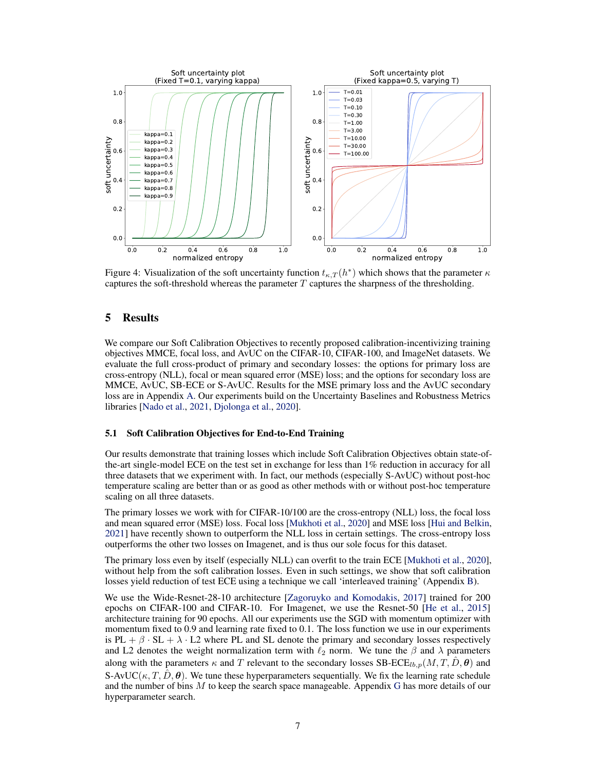

Figure 4: Visualization of the soft uncertainty function  $t_{\kappa,T}(h^*)$  which shows that the parameter  $\kappa$ captures the soft-threshold whereas the parameter T captures the sharpness of the thresholding.

# 5 Results

We compare our Soft Calibration Objectives to recently proposed calibration-incentivizing training objectives MMCE, focal loss, and AvUC on the CIFAR-10, CIFAR-100, and ImageNet datasets. We evaluate the full cross-product of primary and secondary losses: the options for primary loss are cross-entropy (NLL), focal or mean squared error (MSE) loss; and the options for secondary loss are MMCE, AvUC, SB-ECE or S-AvUC. Results for the MSE primary loss and the AvUC secondary loss are in Appendix [A.](#page-12-0) Our experiments build on the Uncertainty Baselines and Robustness Metrics libraries [\[Nado et al.,](#page-11-16) [2021,](#page-11-16) [Djolonga et al.,](#page-10-17) [2020\]](#page-10-17).

#### 5.1 Soft Calibration Objectives for End-to-End Training

Our results demonstrate that training losses which include Soft Calibration Objectives obtain state-ofthe-art single-model ECE on the test set in exchange for less than 1% reduction in accuracy for all three datasets that we experiment with. In fact, our methods (especially S-AvUC) without post-hoc temperature scaling are better than or as good as other methods with or without post-hoc temperature scaling on all three datasets.

The primary losses we work with for CIFAR-10/100 are the cross-entropy (NLL) loss, the focal loss and mean squared error (MSE) loss. Focal loss [\[Mukhoti et al.,](#page-11-4) [2020\]](#page-11-4) and MSE loss [\[Hui and Belkin,](#page-10-9) [2021\]](#page-10-9) have recently shown to outperform the NLL loss in certain settings. The cross-entropy loss outperforms the other two losses on Imagenet, and is thus our sole focus for this dataset.

The primary loss even by itself (especially NLL) can overfit to the train ECE [\[Mukhoti et al.,](#page-11-4) [2020\]](#page-11-4), without help from the soft calibration losses. Even in such settings, we show that soft calibration losses yield reduction of test ECE using a technique we call 'interleaved training' (Appendix [B\)](#page-12-1).

We use the Wide-Resnet-28-10 architecture [\[Zagoruyko and Komodakis,](#page-11-17) [2017\]](#page-11-17) trained for 200 epochs on CIFAR-100 and CIFAR-10. For Imagenet, we use the Resnet-50 [\[He et al.,](#page-10-18) [2015\]](#page-10-18) architecture training for 90 epochs. All our experiments use the SGD with momentum optimizer with momentum fixed to 0.9 and learning rate fixed to 0.1. The loss function we use in our experiments is PL +  $\beta$  · SL +  $\lambda$  · L2 where PL and SL denote the primary and secondary losses respectively and L2 denotes the weight normalization term with  $\ell_2$  norm. We tune the  $\beta$  and  $\lambda$  parameters along with the parameters  $\kappa$  and T relevant to the secondary losses SB-ECE<sub>lb,p</sub> $(M, T, D, \theta)$  and S-AvUC( $\kappa, T, D, \theta$ ). We tune these hyperparameters sequentially. We fix the learning rate schedule and the number of bins  $M$  to keep the search space manageable. Appendix  $G$  has more details of our hyperparameter search.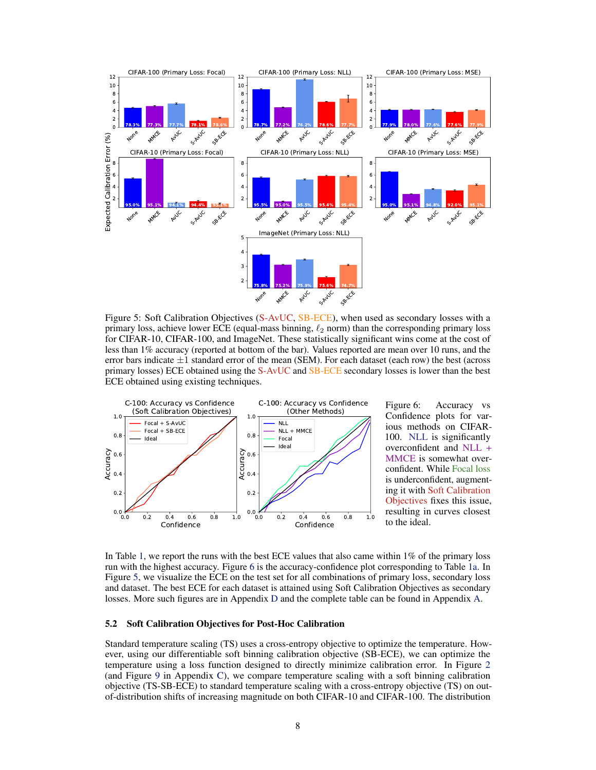<span id="page-7-0"></span>

Figure 5: Soft Calibration Objectives (S-AvUC, SB-ECE), when used as secondary losses with a primary loss, achieve lower ECE (equal-mass binning,  $\ell_2$  norm) than the corresponding primary loss for CIFAR-10, CIFAR-100, and ImageNet. These statistically significant wins come at the cost of less than 1% accuracy (reported at bottom of the bar). Values reported are mean over 10 runs, and the error bars indicate  $\pm 1$  standard error of the mean (SEM). For each dataset (each row) the best (across primary losses) ECE obtained using the S-AvUC and SB-ECE secondary losses is lower than the best ECE obtained using existing techniques.



<span id="page-7-1"></span>Figure 6: Accuracy vs Confidence plots for various methods on CIFAR-100. NLL is significantly overconfident and NLL + MMCE is somewhat overconfident. While Focal loss is underconfident, augmenting it with Soft Calibration Objectives fixes this issue, resulting in curves closest to the ideal.

In Table [1,](#page-8-0) we report the runs with the best ECE values that also came within 1% of the primary loss run with the highest accuracy. Figure [6](#page-7-1) is the accuracy-confidence plot corresponding to Table [1a.](#page-8-0) In Figure [5,](#page-7-0) we visualize the ECE on the test set for all combinations of primary loss, secondary loss and dataset. The best ECE for each dataset is attained using Soft Calibration Objectives as secondary losses. More such figures are in Appendix [D](#page-14-0) and the complete table can be found in Appendix [A.](#page-12-0)

#### 5.2 Soft Calibration Objectives for Post-Hoc Calibration

Standard temperature scaling (TS) uses a cross-entropy objective to optimize the temperature. However, using our differentiable soft binning calibration objective (SB-ECE), we can optimize the temperature using a loss function designed to directly minimize calibration error. In Figure [2](#page-2-1) (and Figure [9](#page-15-0) in Appendix [C\)](#page-12-2), we compare temperature scaling with a soft binning calibration objective (TS-SB-ECE) to standard temperature scaling with a cross-entropy objective (TS) on outof-distribution shifts of increasing magnitude on both CIFAR-10 and CIFAR-100. The distribution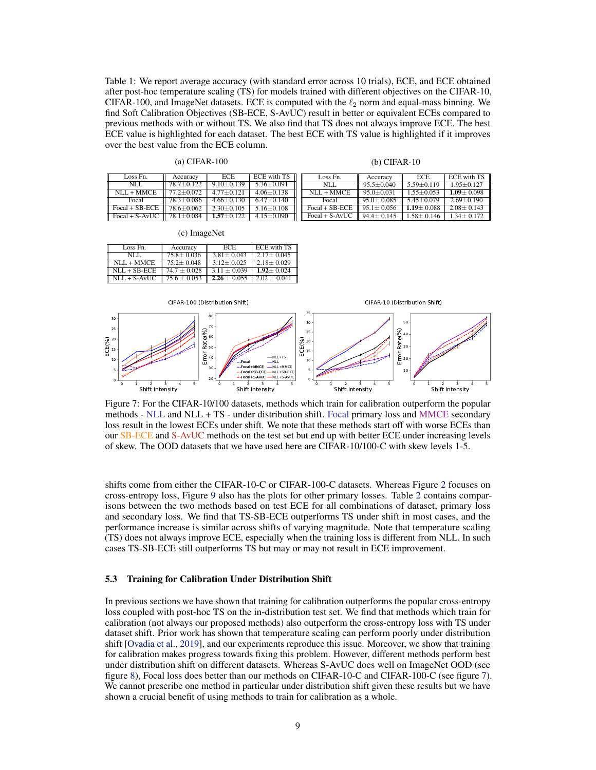<span id="page-8-0"></span>Table 1: We report average accuracy (with standard error across 10 trials), ECE, and ECE obtained after post-hoc temperature scaling (TS) for models trained with different objectives on the CIFAR-10, CIFAR-100, and ImageNet datasets. ECE is computed with the  $\ell_2$  norm and equal-mass binning. We find Soft Calibration Objectives (SB-ECE, S-AvUC) result in better or equivalent ECEs compared to previous methods with or without TS. We also find that TS does not always improve ECE. The best ECE value is highlighted for each dataset. The best ECE with TS value is highlighted if it improves over the best value from the ECE column.

(a) CIFAR-100

#### (b) CIFAR-10

| Loss Fn.                   | Accuracy       | <b>ECE</b>     | <b>ECE with TS</b> | Loss Fn.         | Accuracy       | <b>ECE</b>     | <b>ECE with TS</b> |
|----------------------------|----------------|----------------|--------------------|------------------|----------------|----------------|--------------------|
| NLL.                       | $78.7 + 0.122$ | $9.10 + 0.139$ | $5.36 + 0.091$     | NLL.             | $95.5 + 0.040$ | $5.59 + 0.119$ | $1.95 + 0.127$     |
| $NLL + MMCE$               | $77.2 + 0.072$ | $477+0121$     | $4.06 + 0.138$     | $NLL + MMCE$     | $95.0 + 0.031$ | $155+0053$     | $1.09 + 0.098$     |
| Focal                      | $78.3 + 0.086$ | $4.66 + 0.130$ | $6.47 + 0.140$     | Focal            | $95.0 + 0.085$ | $545+0079$     | $2.69 + 0.190$     |
| $\parallel$ Focal + SB-ECE | $78.6 + 0.062$ | $2.30+0.105$   | $5.16 + 0.108$     | $Focal + SB-ECE$ | $951 + 0.056$  | $1.19 + 0.088$ | $2.08 + 0.143$     |
| $\Box$ Focal + S-AvUC      | $78.1 + 0.084$ | $1.57 + 0.122$ | $4.15 + 0.090$     | $Focal + S-AvUC$ | $94.4 + 0.145$ | $1.58 + 0.146$ | $1.34 + 0.172$     |

(c) ImageNet

| Loss Fn.       | Accuracy         | ECE.             | <b>ECE with TS</b> |
|----------------|------------------|------------------|--------------------|
| NLI.           | $75.8 \pm 0.036$ | $3.81 \pm 0.043$ | $2.17 + 0.045$     |
| $NLL + MMCE$   | $75.2 + 0.048$   | $3.12 + 0.025$   | $2.18 + 0.029$     |
| $NLL + SB-ECE$ | $74.7 + 0.028$   | $3.11 + 0.039$   | $1.92 + 0.024$     |
| $NLL + S-AvUC$ | $75.6 \pm 0.053$ | $2.26 + 0.055$   | $2.02 + 0.041$     |

<span id="page-8-1"></span>

Figure 7: For the CIFAR-10/100 datasets, methods which train for calibration outperform the popular methods - NLL and NLL + TS - under distribution shift. Focal primary loss and MMCE secondary loss result in the lowest ECEs under shift. We note that these methods start off with worse ECEs than our SB-ECE and S-AvUC methods on the test set but end up with better ECE under increasing levels of skew. The OOD datasets that we have used here are CIFAR-10/100-C with skew levels 1-5.

shifts come from either the CIFAR-10-C or CIFAR-100-C datasets. Whereas Figure [2](#page-2-1) focuses on cross-entropy loss, Figure [9](#page-15-0) also has the plots for other primary losses. Table [2](#page-13-0) contains comparisons between the two methods based on test ECE for all combinations of dataset, primary loss and secondary loss. We find that TS-SB-ECE outperforms TS under shift in most cases, and the performance increase is similar across shifts of varying magnitude. Note that temperature scaling (TS) does not always improve ECE, especially when the training loss is different from NLL. In such cases TS-SB-ECE still outperforms TS but may or may not result in ECE improvement.

#### 5.3 Training for Calibration Under Distribution Shift

In previous sections we have shown that training for calibration outperforms the popular cross-entropy loss coupled with post-hoc TS on the in-distribution test set. We find that methods which train for calibration (not always our proposed methods) also outperform the cross-entropy loss with TS under dataset shift. Prior work has shown that temperature scaling can perform poorly under distribution shift [\[Ovadia et al.,](#page-11-13) [2019\]](#page-11-13), and our experiments reproduce this issue. Moreover, we show that training for calibration makes progress towards fixing this problem. However, different methods perform best under distribution shift on different datasets. Whereas S-AvUC does well on ImageNet OOD (see figure [8\)](#page-9-0), Focal loss does better than our methods on CIFAR-10-C and CIFAR-100-C (see figure [7\)](#page-8-1). We cannot prescribe one method in particular under distribution shift given these results but we have shown a crucial benefit of using methods to train for calibration as a whole.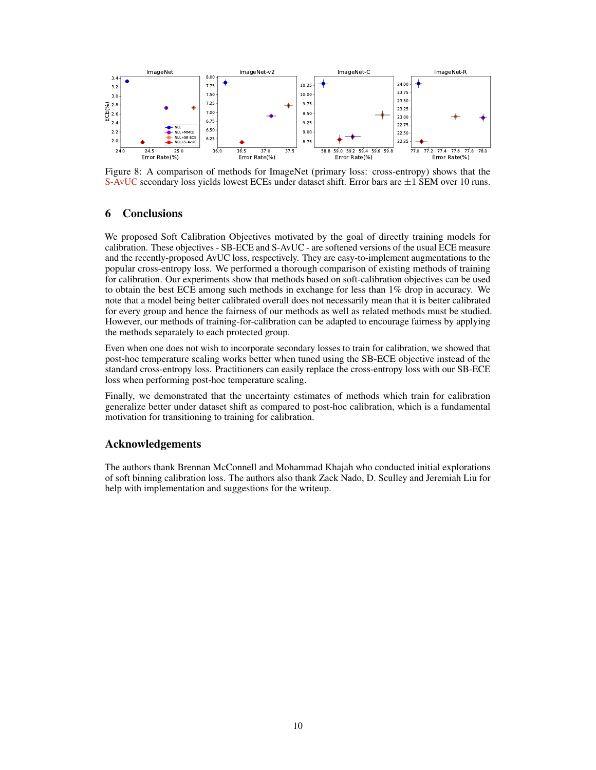<span id="page-9-0"></span>

Figure 8: A comparison of methods for ImageNet (primary loss: cross-entropy) shows that the S-AvUC secondary loss yields lowest ECEs under dataset shift. Error bars are  $\pm 1$  SEM over 10 runs.

# 6 Conclusions

We proposed Soft Calibration Objectives motivated by the goal of directly training models for calibration. These objectives - SB-ECE and S-AvUC - are softened versions of the usual ECE measure and the recently-proposed AvUC loss, respectively. They are easy-to-implement augmentations to the popular cross-entropy loss. We performed a thorough comparison of existing methods of training for calibration. Our experiments show that methods based on soft-calibration objectives can be used to obtain the best ECE among such methods in exchange for less than 1% drop in accuracy. We note that a model being better calibrated overall does not necessarily mean that it is better calibrated for every group and hence the fairness of our methods as well as related methods must be studied. However, our methods of training-for-calibration can be adapted to encourage fairness by applying the methods separately to each protected group.

Even when one does not wish to incorporate secondary losses to train for calibration, we showed that post-hoc temperature scaling works better when tuned using the SB-ECE objective instead of the standard cross-entropy loss. Practitioners can easily replace the cross-entropy loss with our SB-ECE loss when performing post-hoc temperature scaling.

Finally, we demonstrated that the uncertainty estimates of methods which train for calibration generalize better under dataset shift as compared to post-hoc calibration, which is a fundamental motivation for transitioning to training for calibration.

## Acknowledgements

The authors thank Brennan McConnell and Mohammad Khajah who conducted initial explorations of soft binning calibration loss. The authors also thank Zack Nado, D. Sculley and Jeremiah Liu for help with implementation and suggestions for the writeup.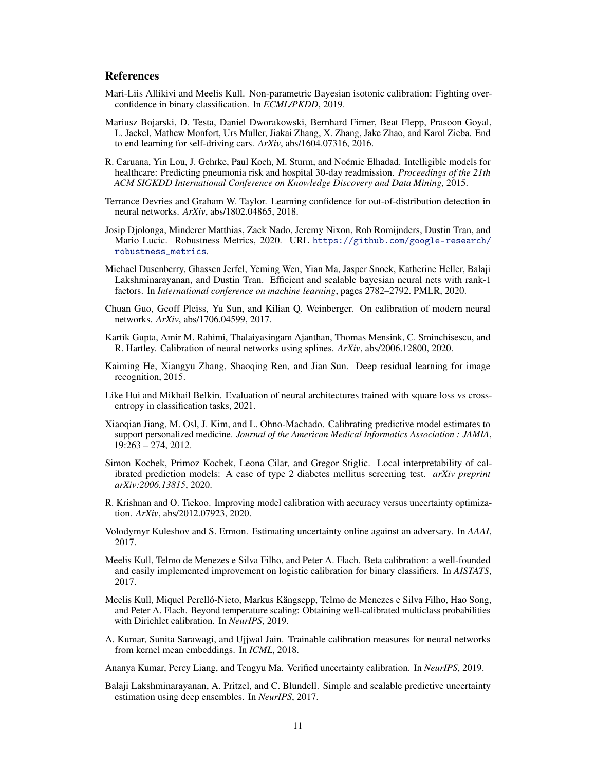# **References**

- <span id="page-10-11"></span>Mari-Liis Allikivi and Meelis Kull. Non-parametric Bayesian isotonic calibration: Fighting overconfidence in binary classification. In *ECML/PKDD*, 2019.
- <span id="page-10-1"></span>Mariusz Bojarski, D. Testa, Daniel Dworakowski, Bernhard Firner, Beat Flepp, Prasoon Goyal, L. Jackel, Mathew Monfort, Urs Muller, Jiakai Zhang, X. Zhang, Jake Zhao, and Karol Zieba. End to end learning for self-driving cars. *ArXiv*, abs/1604.07316, 2016.
- <span id="page-10-3"></span>R. Caruana, Yin Lou, J. Gehrke, Paul Koch, M. Sturm, and Noémie Elhadad. Intelligible models for healthcare: Predicting pneumonia risk and hospital 30-day readmission. *Proceedings of the 21th ACM SIGKDD International Conference on Knowledge Discovery and Data Mining*, 2015.
- <span id="page-10-6"></span>Terrance Devries and Graham W. Taylor. Learning confidence for out-of-distribution detection in neural networks. *ArXiv*, abs/1802.04865, 2018.
- <span id="page-10-17"></span>Josip Djolonga, Minderer Matthias, Zack Nado, Jeremy Nixon, Rob Romijnders, Dustin Tran, and Mario Lucic. Robustness Metrics, 2020. URL [https://github.com/google-research/](https://github.com/google-research/robustness_metrics) [robustness\\_metrics](https://github.com/google-research/robustness_metrics).
- <span id="page-10-15"></span>Michael Dusenberry, Ghassen Jerfel, Yeming Wen, Yian Ma, Jasper Snoek, Katherine Heller, Balaji Lakshminarayanan, and Dustin Tran. Efficient and scalable bayesian neural nets with rank-1 factors. In *International conference on machine learning*, pages 2782–2792. PMLR, 2020.
- <span id="page-10-0"></span>Chuan Guo, Geoff Pleiss, Yu Sun, and Kilian Q. Weinberger. On calibration of modern neural networks. *ArXiv*, abs/1706.04599, 2017.
- <span id="page-10-13"></span>Kartik Gupta, Amir M. Rahimi, Thalaiyasingam Ajanthan, Thomas Mensink, C. Sminchisescu, and R. Hartley. Calibration of neural networks using splines. *ArXiv*, abs/2006.12800, 2020.
- <span id="page-10-18"></span>Kaiming He, Xiangyu Zhang, Shaoqing Ren, and Jian Sun. Deep residual learning for image recognition, 2015.
- <span id="page-10-9"></span>Like Hui and Mikhail Belkin. Evaluation of neural architectures trained with square loss vs crossentropy in classification tasks, 2021.
- <span id="page-10-2"></span>Xiaoqian Jiang, M. Osl, J. Kim, and L. Ohno-Machado. Calibrating predictive model estimates to support personalized medicine. *Journal of the American Medical Informatics Association : JAMIA*, 19:263 – 274, 2012.
- <span id="page-10-4"></span>Simon Kocbek, Primoz Kocbek, Leona Cilar, and Gregor Stiglic. Local interpretability of calibrated prediction models: A case of type 2 diabetes mellitus screening test. *arXiv preprint arXiv:2006.13815*, 2020.
- <span id="page-10-7"></span>R. Krishnan and O. Tickoo. Improving model calibration with accuracy versus uncertainty optimization. *ArXiv*, abs/2012.07923, 2020.
- <span id="page-10-5"></span>Volodymyr Kuleshov and S. Ermon. Estimating uncertainty online against an adversary. In *AAAI*, 2017.
- <span id="page-10-12"></span>Meelis Kull, Telmo de Menezes e Silva Filho, and Peter A. Flach. Beta calibration: a well-founded and easily implemented improvement on logistic calibration for binary classifiers. In *AISTATS*, 2017.
- <span id="page-10-10"></span>Meelis Kull, Miquel Perelló-Nieto, Markus Kängsepp, Telmo de Menezes e Silva Filho, Hao Song, and Peter A. Flach. Beyond temperature scaling: Obtaining well-calibrated multiclass probabilities with Dirichlet calibration. In *NeurIPS*, 2019.
- <span id="page-10-8"></span>A. Kumar, Sunita Sarawagi, and Ujjwal Jain. Trainable calibration measures for neural networks from kernel mean embeddings. In *ICML*, 2018.

<span id="page-10-16"></span>Ananya Kumar, Percy Liang, and Tengyu Ma. Verified uncertainty calibration. In *NeurIPS*, 2019.

<span id="page-10-14"></span>Balaji Lakshminarayanan, A. Pritzel, and C. Blundell. Simple and scalable predictive uncertainty estimation using deep ensembles. In *NeurIPS*, 2017.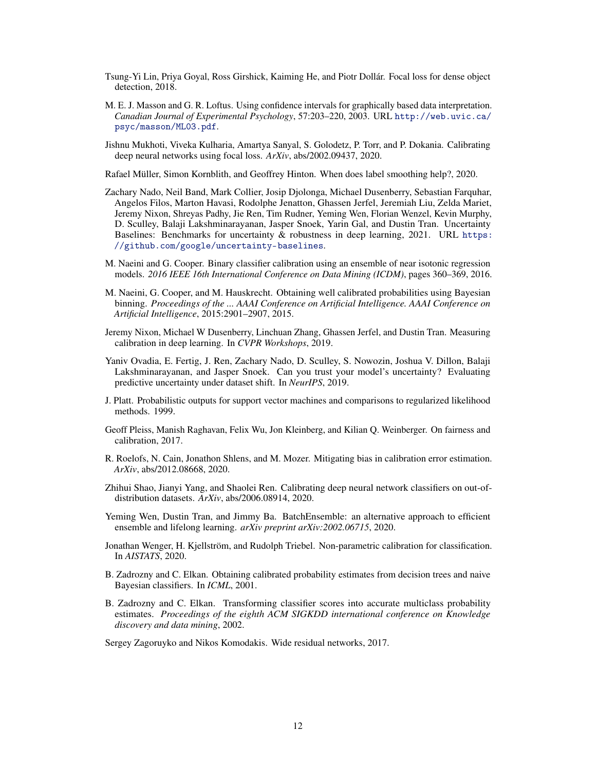- <span id="page-11-5"></span>Tsung-Yi Lin, Priya Goyal, Ross Girshick, Kaiming He, and Piotr Dollár. Focal loss for dense object detection, 2018.
- <span id="page-11-7"></span>M. E. J. Masson and G. R. Loftus. Using confidence intervals for graphically based data interpretation. *Canadian Journal of Experimental Psychology*, 57:203–220, 2003. URL [http://web.uvic.ca/](http://web.uvic.ca/psyc/masson/ML03.pdf) [psyc/masson/ML03.pdf](http://web.uvic.ca/psyc/masson/ML03.pdf).
- <span id="page-11-4"></span>Jishnu Mukhoti, Viveka Kulharia, Amartya Sanyal, S. Golodetz, P. Torr, and P. Dokania. Calibrating deep neural networks using focal loss. *ArXiv*, abs/2002.09437, 2020.
- <span id="page-11-6"></span>Rafael Müller, Simon Kornblith, and Geoffrey Hinton. When does label smoothing help?, 2020.
- <span id="page-11-16"></span>Zachary Nado, Neil Band, Mark Collier, Josip Djolonga, Michael Dusenberry, Sebastian Farquhar, Angelos Filos, Marton Havasi, Rodolphe Jenatton, Ghassen Jerfel, Jeremiah Liu, Zelda Mariet, Jeremy Nixon, Shreyas Padhy, Jie Ren, Tim Rudner, Yeming Wen, Florian Wenzel, Kevin Murphy, D. Sculley, Balaji Lakshminarayanan, Jasper Snoek, Yarin Gal, and Dustin Tran. Uncertainty Baselines: Benchmarks for uncertainty  $\&$  robustness in deep learning, 2021. URL [https:](https://github.com/google/uncertainty-baselines) [//github.com/google/uncertainty-baselines](https://github.com/google/uncertainty-baselines).
- <span id="page-11-11"></span>M. Naeini and G. Cooper. Binary classifier calibration using an ensemble of near isotonic regression models. *2016 IEEE 16th International Conference on Data Mining (ICDM)*, pages 360–369, 2016.
- <span id="page-11-2"></span>M. Naeini, G. Cooper, and M. Hauskrecht. Obtaining well calibrated probabilities using Bayesian binning. *Proceedings of the ... AAAI Conference on Artificial Intelligence. AAAI Conference on Artificial Intelligence*, 2015:2901–2907, 2015.
- <span id="page-11-3"></span>Jeremy Nixon, Michael W Dusenberry, Linchuan Zhang, Ghassen Jerfel, and Dustin Tran. Measuring calibration in deep learning. In *CVPR Workshops*, 2019.
- <span id="page-11-13"></span>Yaniv Ovadia, E. Fertig, J. Ren, Zachary Nado, D. Sculley, S. Nowozin, Joshua V. Dillon, Balaji Lakshminarayanan, and Jasper Snoek. Can you trust your model's uncertainty? Evaluating predictive uncertainty under dataset shift. In *NeurIPS*, 2019.
- <span id="page-11-8"></span>J. Platt. Probabilistic outputs for support vector machines and comparisons to regularized likelihood methods. 1999.
- <span id="page-11-0"></span>Geoff Pleiss, Manish Raghavan, Felix Wu, Jon Kleinberg, and Kilian Q. Weinberger. On fairness and calibration, 2017.
- <span id="page-11-15"></span>R. Roelofs, N. Cain, Jonathon Shlens, and M. Mozer. Mitigating bias in calibration error estimation. *ArXiv*, abs/2012.08668, 2020.
- <span id="page-11-1"></span>Zhihui Shao, Jianyi Yang, and Shaolei Ren. Calibrating deep neural network classifiers on out-ofdistribution datasets. *ArXiv*, abs/2006.08914, 2020.
- <span id="page-11-14"></span>Yeming Wen, Dustin Tran, and Jimmy Ba. BatchEnsemble: an alternative approach to efficient ensemble and lifelong learning. *arXiv preprint arXiv:2002.06715*, 2020.
- <span id="page-11-12"></span>Jonathan Wenger, H. Kjellström, and Rudolph Triebel. Non-parametric calibration for classification. In *AISTATS*, 2020.
- <span id="page-11-10"></span>B. Zadrozny and C. Elkan. Obtaining calibrated probability estimates from decision trees and naive Bayesian classifiers. In *ICML*, 2001.
- <span id="page-11-9"></span>B. Zadrozny and C. Elkan. Transforming classifier scores into accurate multiclass probability estimates. *Proceedings of the eighth ACM SIGKDD international conference on Knowledge discovery and data mining*, 2002.

<span id="page-11-17"></span>Sergey Zagoruyko and Nikos Komodakis. Wide residual networks, 2017.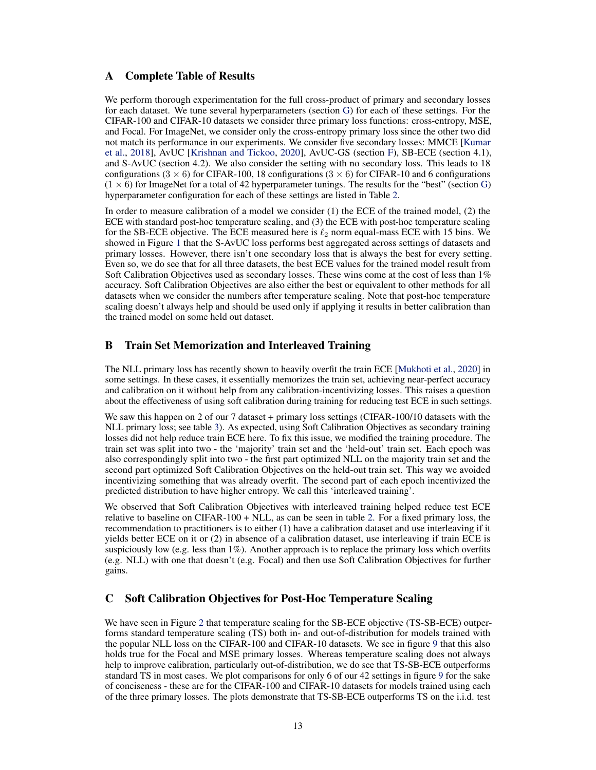# <span id="page-12-0"></span>A Complete Table of Results

We perform thorough experimentation for the full cross-product of primary and secondary losses for each dataset. We tune several hyperparameters (section [G\)](#page-18-0) for each of these settings. For the CIFAR-100 and CIFAR-10 datasets we consider three primary loss functions: cross-entropy, MSE, and Focal. For ImageNet, we consider only the cross-entropy primary loss since the other two did not match its performance in our experiments. We consider five secondary losses: MMCE [\[Kumar](#page-10-8) [et al.,](#page-10-8) [2018\]](#page-10-8), AvUC [\[Krishnan and Tickoo,](#page-10-7) [2020\]](#page-10-7), AvUC-GS (section [F\)](#page-17-0), SB-ECE (section 4.1), and S-AvUC (section 4.2). We also consider the setting with no secondary loss. This leads to 18 configurations (3  $\times$  6) for CIFAR-100, 18 configurations (3  $\times$  6) for CIFAR-10 and 6 configurations  $(1 \times 6)$  for ImageNet for a total of 42 hyperparameter tunings. The results for the "best" (section [G\)](#page-18-0) hyperparameter configuration for each of these settings are listed in Table [2.](#page-13-0)

In order to measure calibration of a model we consider (1) the ECE of the trained model, (2) the ECE with standard post-hoc temperature scaling, and (3) the ECE with post-hoc temperature scaling for the SB-ECE objective. The ECE measured here is  $\ell_2$  norm equal-mass ECE with 15 bins. We showed in Figure [1](#page-2-0) that the S-AvUC loss performs best aggregated across settings of datasets and primary losses. However, there isn't one secondary loss that is always the best for every setting. Even so, we do see that for all three datasets, the best ECE values for the trained model result from Soft Calibration Objectives used as secondary losses. These wins come at the cost of less than 1% accuracy. Soft Calibration Objectives are also either the best or equivalent to other methods for all datasets when we consider the numbers after temperature scaling. Note that post-hoc temperature scaling doesn't always help and should be used only if applying it results in better calibration than the trained model on some held out dataset.

# <span id="page-12-1"></span>B Train Set Memorization and Interleaved Training

The NLL primary loss has recently shown to heavily overfit the train ECE [\[Mukhoti et al.,](#page-11-4) [2020\]](#page-11-4) in some settings. In these cases, it essentially memorizes the train set, achieving near-perfect accuracy and calibration on it without help from any calibration-incentivizing losses. This raises a question about the effectiveness of using soft calibration during training for reducing test ECE in such settings.

We saw this happen on 2 of our 7 dataset + primary loss settings (CIFAR-100/10 datasets with the NLL primary loss; see table [3\)](#page-14-1). As expected, using Soft Calibration Objectives as secondary training losses did not help reduce train ECE here. To fix this issue, we modified the training procedure. The train set was split into two - the 'majority' train set and the 'held-out' train set. Each epoch was also correspondingly split into two - the first part optimized NLL on the majority train set and the second part optimized Soft Calibration Objectives on the held-out train set. This way we avoided incentivizing something that was already overfit. The second part of each epoch incentivized the predicted distribution to have higher entropy. We call this 'interleaved training'.

We observed that Soft Calibration Objectives with interleaved training helped reduce test ECE relative to baseline on CIFAR-100 + NLL, as can be seen in table [2.](#page-13-0) For a fixed primary loss, the recommendation to practitioners is to either (1) have a calibration dataset and use interleaving if it yields better ECE on it or (2) in absence of a calibration dataset, use interleaving if train ECE is suspiciously low (e.g. less than 1%). Another approach is to replace the primary loss which overfits (e.g. NLL) with one that doesn't (e.g. Focal) and then use Soft Calibration Objectives for further gains.

# <span id="page-12-2"></span>C Soft Calibration Objectives for Post-Hoc Temperature Scaling

We have seen in Figure [2](#page-2-1) that temperature scaling for the SB-ECE objective (TS-SB-ECE) outperforms standard temperature scaling (TS) both in- and out-of-distribution for models trained with the popular NLL loss on the CIFAR-100 and CIFAR-10 datasets. We see in figure [9](#page-15-0) that this also holds true for the Focal and MSE primary losses. Whereas temperature scaling does not always help to improve calibration, particularly out-of-distribution, we do see that TS-SB-ECE outperforms standard TS in most cases. We plot comparisons for only 6 of our 42 settings in figure [9](#page-15-0) for the sake of conciseness - these are for the CIFAR-100 and CIFAR-10 datasets for models trained using each of the three primary losses. The plots demonstrate that TS-SB-ECE outperforms TS on the i.i.d. test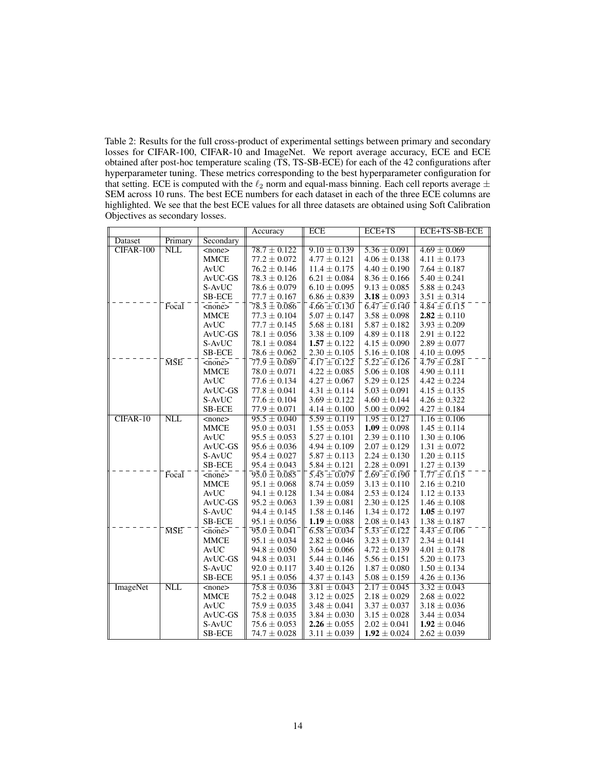<span id="page-13-0"></span>Table 2: Results for the full cross-product of experimental settings between primary and secondary losses for CIFAR-100, CIFAR-10 and ImageNet. We report average accuracy, ECE and ECE obtained after post-hoc temperature scaling (TS, TS-SB-ECE) for each of the 42 configurations after hyperparameter tuning. These metrics corresponding to the best hyperparameter configuration for that setting. ECE is computed with the  $\ell_2$  norm and equal-mass binning. Each cell reports average  $\pm$ SEM across 10 runs. The best ECE numbers for each dataset in each of the three ECE columns are highlighted. We see that the best ECE values for all three datasets are obtained using Soft Calibration Objectives as secondary losses.

|                 |            |                     | Accuracy                                                                             | <b>ECE</b>                           | $ECE+TS$                             | ECE+TS-SB-ECE                                                |
|-----------------|------------|---------------------|--------------------------------------------------------------------------------------|--------------------------------------|--------------------------------------|--------------------------------------------------------------|
| Dataset         | Primary    | Secondary           |                                                                                      |                                      |                                      |                                                              |
| CIFAR-100       | <b>NLL</b> | $<$ none $>$        | $78.7 \pm 0.122$                                                                     | $9.10 \pm 0.139$                     | $5.36 \pm 0.091$                     | $4.69 \pm 0.069$                                             |
|                 |            | <b>MMCE</b>         | $77.2 \pm 0.072$                                                                     | $4.77 \pm 0.121$                     | $4.06 \pm 0.138$                     | $4.11 \pm 0.173$                                             |
|                 |            | AvUC                | $76.2 \pm 0.146$                                                                     | $11.4 \pm 0.175$                     | $4.40 \pm 0.190$                     | $7.64 \pm 0.187$                                             |
|                 |            | AvUC-GS             | $78.3 \pm 0.126$                                                                     | $6.21 \pm 0.084$                     | $8.36 \pm 0.166$                     | $5.40 \pm 0.241$                                             |
|                 |            | S-AvUC              | $78.6 \pm 0.079$                                                                     | $6.10 \pm 0.095$                     | $9.13 \pm 0.085$                     | $5.88 \pm 0.243$                                             |
|                 |            | <b>SB-ECE</b>       | $77.7 \pm 0.167$                                                                     | $6.86 \pm 0.839$                     | 3.18 $\pm$ 0.093                     | $3.51 \pm 0.314$                                             |
|                 | Focal      | $<$ none $>$        | $78.\overline{3} \pm \overline{0.086}$                                               | $\bar{4.66} \pm 0.130$               | $\overline{6.47} \pm 0.140$          | $\overline{4}.\overline{84} \pm \overline{0}.\overline{115}$ |
|                 |            | <b>MMCE</b>         | $77.3 \pm 0.104$                                                                     | $5.07 \pm 0.147$                     | $3.58 \pm 0.098$                     | $2.82 \pm 0.110$                                             |
|                 |            | AvUC                | $77.7 \pm 0.145$                                                                     | $5.68 \pm 0.181$                     | $5.87 \pm 0.182$                     | $3.93 \pm 0.209$                                             |
|                 |            | AvUC-GS             | $78.1 \pm 0.056$                                                                     | $3.38 \pm 0.109$                     | $4.89 \pm 0.118$                     | $2.91 \pm 0.122$                                             |
|                 |            | S-AvUC              | $78.1 \pm 0.084$                                                                     | $1.57 \pm 0.122$                     | $4.15 \pm 0.090$                     | $2.89 \pm 0.077$                                             |
|                 |            | <b>SB-ECE</b>       | $78.6 \pm 0.062$                                                                     | $2.30 \pm 0.105$                     | $5.16 \pm 0.108$                     | $4.10 \pm 0.095$                                             |
|                 | <b>MSE</b> | $<$ none $>$        | $\overline{7}\overline{7}.\overline{9} \pm \overline{0}.\overline{0}8\overline{9}$ . | $\overline{4.17} \pm 0.122$          | $\overline{5.22} \pm 0.126$          | $\bar{4}.\bar{7}9 \pm 0.28\bar{1}$                           |
|                 |            | <b>MMCE</b>         | $78.0 \pm 0.071$                                                                     | $4.22 \pm 0.085$                     | $5.06 \pm 0.108$                     | $4.90 \pm 0.111$                                             |
|                 |            | AvUC                | $77.6 \pm 0.134$                                                                     | $4.27 \pm 0.067$                     | $5.29 \pm 0.125$                     | $4.42 \pm 0.224$                                             |
|                 |            | AvUC-GS             | $77.8 \pm 0.041$                                                                     | $4.31 \pm 0.114$                     | $5.03 \pm 0.091$                     | $4.15 \pm 0.135$                                             |
|                 |            | S-AvUC              | $77.6 \pm 0.104$                                                                     | $3.69 \pm 0.122$                     | $4.60 \pm 0.144$                     | $4.26 \pm 0.322$                                             |
|                 |            | <b>SB-ECE</b>       | $77.9 \pm 0.071$                                                                     | $4.14 \pm 0.100$                     | $5.00 \pm 0.092$                     | $4.27 \pm 0.184$                                             |
| $CIFAR-10$      | <b>NLL</b> | $none$              | $95.5 \pm 0.040$                                                                     | $5.59 \pm 0.119$                     | $1.95 \pm 0.127$                     | $1.16 \pm 0.106$                                             |
|                 |            | <b>MMCE</b>         | $95.0 \pm 0.031$                                                                     | $1.55\pm0.053$                       | $1.09 \pm 0.098$                     | $1.45 \pm 0.114$                                             |
|                 |            | AvUC                | $95.5 \pm 0.053$                                                                     | $5.27 \pm 0.101$                     | $2.39 \pm 0.110$                     | $1.30 \pm 0.106$                                             |
|                 |            | AvUC-GS             | $95.6 \pm 0.036$                                                                     | $4.94 \pm 0.109$                     | $2.07 \pm 0.129$                     | $1.31 \pm 0.072$                                             |
|                 |            | S-AvUC              | $95.4 \pm 0.027$                                                                     | $5.87 \pm 0.113$                     | $2.24\pm0.130$                       | $1.20 \pm 0.115$                                             |
|                 |            | <b>SB-ECE</b>       | $95.4 \pm 0.043$                                                                     | $5.84 \pm 0.121$                     | $2.28 \pm 0.091$                     | $1.27 \pm 0.139$                                             |
|                 | Focal      | $<$ none $>$        | $\bar{.95.0} \pm \bar{0.085}^\circ$                                                  | $5.45 \pm 0.079$                     | $\bar{2.69} \pm 0.190$               | $\overline{1.77} \pm \overline{0.115}$                       |
|                 |            | <b>MMCE</b>         | $95.1 \pm 0.068$                                                                     | $8.74 \pm 0.059$                     | $3.13 \pm 0.110$                     | $2.16 \pm 0.210$                                             |
|                 |            | AvUC                | $94.1 \pm 0.128$                                                                     | $1.34 \pm 0.084$                     | $2.53 \pm 0.124$                     | $1.12 \pm 0.133$                                             |
|                 |            | AvUC-GS             | $95.2 \pm 0.063$                                                                     | $1.39 \pm 0.081$                     | $2.30 \pm 0.125$                     | $1.46 \pm 0.108$                                             |
|                 |            | S-AvUC              | $94.4 \pm 0.145$                                                                     | $1.58 \pm 0.146$                     | $1.34 \pm 0.172$                     | $1.05 \pm 0.197$                                             |
|                 |            | SB-ECE              | $95.1 \pm 0.056$                                                                     | $1.19 \pm 0.088$                     | $2.08 \pm 0.143$                     | $1.38 \pm 0.187$                                             |
|                 | <b>MSE</b> | $none$              | $\bar{.}9\bar{5}.\bar{0}\pm\bar{0}.\bar{0}\bar{4}1\bar{1}$                           | $\overline{6.58} + \overline{0.034}$ | $\bar{5}.\bar{3}3 \pm 0.\bar{1}22$   | $\overline{4.43} \pm \overline{0.106}$                       |
|                 |            | <b>MMCE</b>         | $95.1 \pm 0.034$                                                                     | $2.82 \pm 0.046$                     | $3.23 \pm 0.137$                     | $2.34 \pm 0.141$                                             |
|                 |            | AvUC                | $94.8 \pm 0.050$                                                                     | $3.64 \pm 0.066$                     | $4.72 \pm 0.139$                     | $4.01 \pm 0.178$                                             |
|                 |            | AvUC-GS             | $94.8 \pm 0.031$                                                                     | $5.44 \pm 0.146$                     | $5.56 \pm 0.151$                     | $5.20 \pm 0.173$                                             |
|                 |            | S-AvUC              | $92.0 \pm 0.117$                                                                     | $3.40 \pm 0.126$                     | $1.87 \pm 0.080$                     | $1.50 \pm 0.134$                                             |
|                 | <b>NLL</b> | <b>SB-ECE</b>       | $95.1 \pm 0.056$                                                                     | $4.37 \pm 0.143$                     | $5.08 \pm 0.159$                     | $4.26 \pm 0.136$                                             |
| <b>ImageNet</b> |            | $<$ none $>$        | $75.8 \pm 0.036$                                                                     | $3.81 \pm 0.043$                     | $2.17 \pm 0.045$                     | $3.32 \pm 0.043$                                             |
|                 |            | <b>MMCE</b><br>AvUC | $75.2 \pm 0.048$<br>$75.9 \pm 0.035$                                                 | $3.12 \pm 0.025$<br>$3.48 \pm 0.041$ | $2.18 \pm 0.029$                     | $2.68 \pm 0.022$                                             |
|                 |            |                     |                                                                                      |                                      | $3.37\pm0.037$                       | $3.18 \pm 0.036$                                             |
|                 |            | AvUC-GS<br>S-AvUC   | $75.8 \pm 0.035$<br>$75.6 \pm 0.053$                                                 | $3.84 \pm 0.030$<br>$2.26 \pm 0.055$ | $3.15 \pm 0.028$<br>$2.02 \pm 0.041$ | $3.44 \pm 0.034$<br>$1.92 \pm 0.046$                         |
|                 |            |                     |                                                                                      |                                      |                                      |                                                              |
|                 |            | <b>SB-ECE</b>       | $74.7 \pm 0.028$                                                                     | $3.11 \pm 0.039$                     | $1.92 \pm 0.024$                     | $2.62 \pm 0.039$                                             |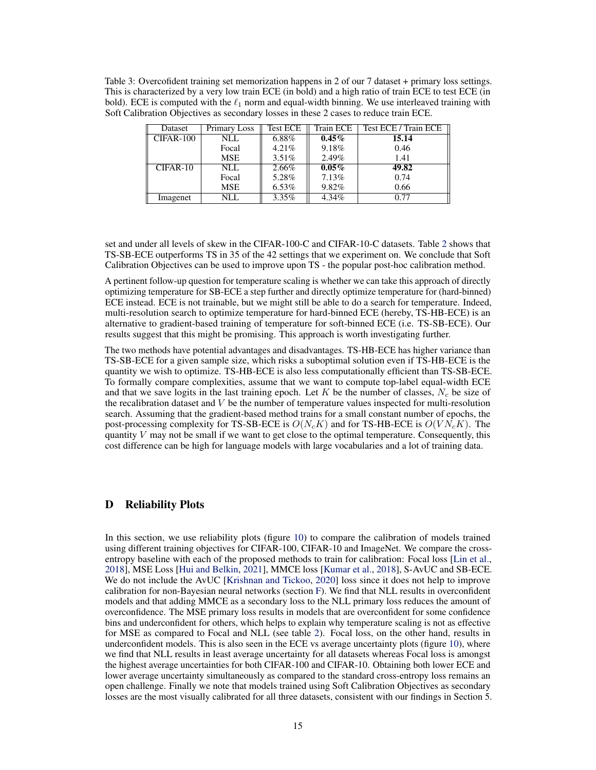<span id="page-14-1"></span>Table 3: Overcofident training set memorization happens in 2 of our 7 dataset + primary loss settings. This is characterized by a very low train ECE (in bold) and a high ratio of train ECE to test ECE (in bold). ECE is computed with the  $\ell_1$  norm and equal-width binning. We use interleaved training with Soft Calibration Objectives as secondary losses in these 2 cases to reduce train ECE.

| Dataset   | Primary Loss | <b>Test ECE</b> | Train ECE | Test ECE / Train ECE |
|-----------|--------------|-----------------|-----------|----------------------|
| CIFAR-100 | NLL.         | 6.88%           | $0.45\%$  | 15.14                |
|           | Focal        | $4.21\%$        | 9.18%     | 0.46                 |
|           | <b>MSE</b>   | $3.51\%$        | 2.49%     | 1.41                 |
| CIFAR-10  | NLL.         | 2.66%           | $0.05\%$  | 49.82                |
|           | Focal        | 5.28%           | 7.13%     | 0.74                 |
|           | <b>MSE</b>   | $6.53\%$        | 9.82%     | 0.66                 |
| Imagenet  | NLL          | $3.35\%$        | 4.34%     | 0.77                 |

set and under all levels of skew in the CIFAR-100-C and CIFAR-10-C datasets. Table [2](#page-13-0) shows that TS-SB-ECE outperforms TS in 35 of the 42 settings that we experiment on. We conclude that Soft Calibration Objectives can be used to improve upon TS - the popular post-hoc calibration method.

A pertinent follow-up question for temperature scaling is whether we can take this approach of directly optimizing temperature for SB-ECE a step further and directly optimize temperature for (hard-binned) ECE instead. ECE is not trainable, but we might still be able to do a search for temperature. Indeed, multi-resolution search to optimize temperature for hard-binned ECE (hereby, TS-HB-ECE) is an alternative to gradient-based training of temperature for soft-binned ECE (i.e. TS-SB-ECE). Our results suggest that this might be promising. This approach is worth investigating further.

The two methods have potential advantages and disadvantages. TS-HB-ECE has higher variance than TS-SB-ECE for a given sample size, which risks a suboptimal solution even if TS-HB-ECE is the quantity we wish to optimize. TS-HB-ECE is also less computationally efficient than TS-SB-ECE. To formally compare complexities, assume that we want to compute top-label equal-width ECE and that we save logits in the last training epoch. Let K be the number of classes,  $N_c$  be size of the recalibration dataset and  $V$  be the number of temperature values inspected for multi-resolution search. Assuming that the gradient-based method trains for a small constant number of epochs, the post-processing complexity for TS-SB-ECE is  $O(N_cK)$  and for TS-HB-ECE is  $O(VN_cK)$ . The quantity  $V$  may not be small if we want to get close to the optimal temperature. Consequently, this cost difference can be high for language models with large vocabularies and a lot of training data.

# <span id="page-14-0"></span>D Reliability Plots

In this section, we use reliability plots (figure [10\)](#page-16-0) to compare the calibration of models trained using different training objectives for CIFAR-100, CIFAR-10 and ImageNet. We compare the cross-entropy baseline with each of the proposed methods to train for calibration: Focal loss [\[Lin et al.,](#page-11-5) [2018\]](#page-11-5), MSE Loss [\[Hui and Belkin,](#page-10-9) [2021\]](#page-10-9), MMCE loss [\[Kumar et al.,](#page-10-8) [2018\]](#page-10-8), S-AvUC and SB-ECE. We do not include the AvUC [\[Krishnan and Tickoo,](#page-10-7) [2020\]](#page-10-7) loss since it does not help to improve calibration for non-Bayesian neural networks (section [F\)](#page-17-0). We find that NLL results in overconfident models and that adding MMCE as a secondary loss to the NLL primary loss reduces the amount of overconfidence. The MSE primary loss results in models that are overconfident for some confidence bins and underconfident for others, which helps to explain why temperature scaling is not as effective for MSE as compared to Focal and NLL (see table [2\)](#page-13-0). Focal loss, on the other hand, results in underconfident models. This is also seen in the ECE vs average uncertainty plots (figure [10\)](#page-16-0), where we find that NLL results in least average uncertainty for all datasets whereas Focal loss is amongst the highest average uncertainties for both CIFAR-100 and CIFAR-10. Obtaining both lower ECE and lower average uncertainty simultaneously as compared to the standard cross-entropy loss remains an open challenge. Finally we note that models trained using Soft Calibration Objectives as secondary losses are the most visually calibrated for all three datasets, consistent with our findings in Section 5.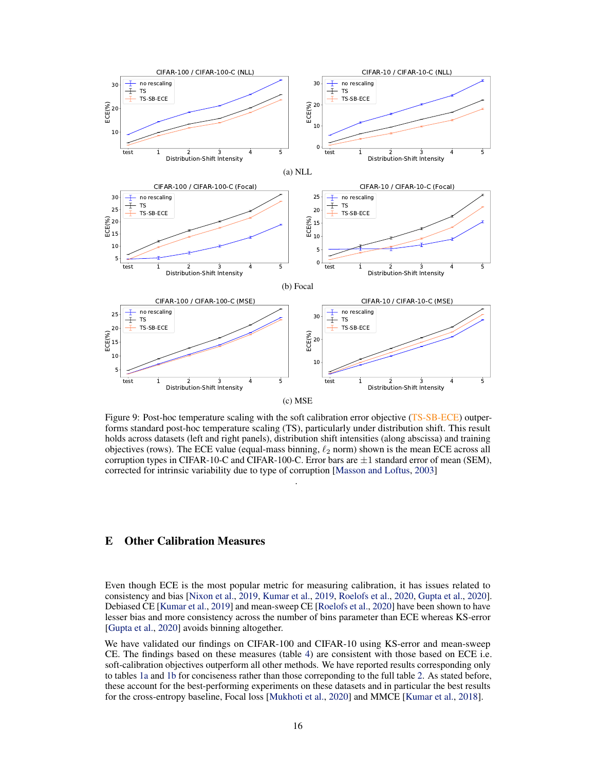<span id="page-15-0"></span>

Figure 9: Post-hoc temperature scaling with the soft calibration error objective (TS-SB-ECE) outperforms standard post-hoc temperature scaling (TS), particularly under distribution shift. This result holds across datasets (left and right panels), distribution shift intensities (along abscissa) and training objectives (rows). The ECE value (equal-mass binning,  $\ell_2$  norm) shown is the mean ECE across all corruption types in CIFAR-10-C and CIFAR-100-C. Error bars are  $\pm 1$  standard error of mean (SEM), corrected for intrinsic variability due to type of corruption [\[Masson and Loftus,](#page-11-7) [2003\]](#page-11-7)

.

## E Other Calibration Measures

Even though ECE is the most popular metric for measuring calibration, it has issues related to consistency and bias [\[Nixon et al.,](#page-11-3) [2019,](#page-11-3) [Kumar et al.,](#page-10-16) [2019,](#page-10-16) [Roelofs et al.,](#page-11-15) [2020,](#page-11-15) [Gupta et al.,](#page-10-13) [2020\]](#page-10-13). Debiased CE [\[Kumar et al.,](#page-10-16) [2019\]](#page-10-16) and mean-sweep CE [\[Roelofs et al.,](#page-11-15) [2020\]](#page-11-15) have been shown to have lesser bias and more consistency across the number of bins parameter than ECE whereas KS-error [\[Gupta et al.,](#page-10-13) [2020\]](#page-10-13) avoids binning altogether.

We have validated our findings on CIFAR-100 and CIFAR-10 using KS-error and mean-sweep CE. The findings based on these measures (table [4\)](#page-17-1) are consistent with those based on ECE i.e. soft-calibration objectives outperform all other methods. We have reported results corresponding only to tables [1a](#page-8-0) and [1b](#page-8-0) for conciseness rather than those correponding to the full table [2.](#page-13-0) As stated before, these account for the best-performing experiments on these datasets and in particular the best results for the cross-entropy baseline, Focal loss [\[Mukhoti et al.,](#page-11-4) [2020\]](#page-11-4) and MMCE [\[Kumar et al.,](#page-10-8) [2018\]](#page-10-8).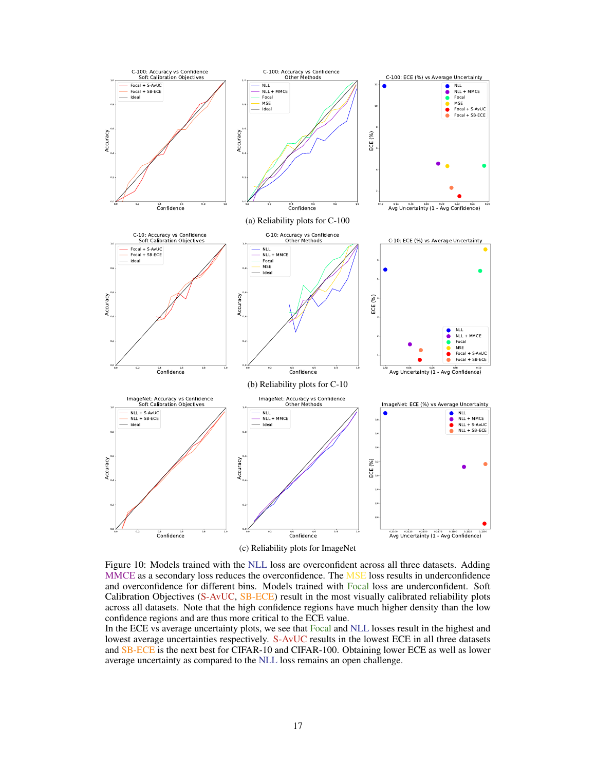<span id="page-16-0"></span>

Figure 10: Models trained with the NLL loss are overconfident across all three datasets. Adding MMCE as a secondary loss reduces the overconfidence. The MSE loss results in underconfidence and overconfidence for different bins. Models trained with Focal loss are underconfident. Soft Calibration Objectives (S-AvUC, SB-ECE) result in the most visually calibrated reliability plots across all datasets. Note that the high confidence regions have much higher density than the low confidence regions and are thus more critical to the ECE value.

In the ECE vs average uncertainty plots, we see that Focal and NLL losses result in the highest and lowest average uncertainties respectively. S-AvUC results in the lowest ECE in all three datasets and SB-ECE is the next best for CIFAR-10 and CIFAR-100. Obtaining lower ECE as well as lower average uncertainty as compared to the NLL loss remains an open challenge.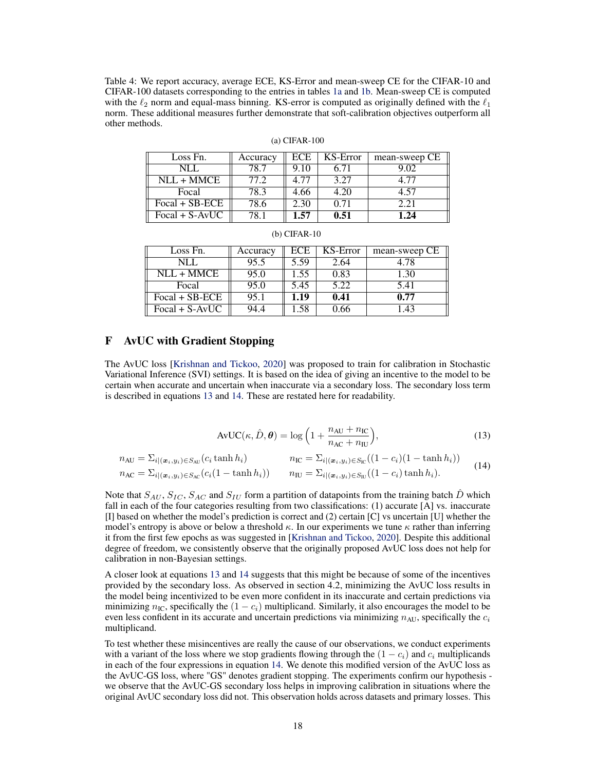<span id="page-17-1"></span>Table 4: We report accuracy, average ECE, KS-Error and mean-sweep CE for the CIFAR-10 and CIFAR-100 datasets corresponding to the entries in tables [1a](#page-8-0) and [1b.](#page-8-0) Mean-sweep CE is computed with the  $\ell_2$  norm and equal-mass binning. KS-error is computed as originally defined with the  $\ell_1$ norm. These additional measures further demonstrate that soft-calibration objectives outperform all other methods.

| Loss Fn.          | Accuracy | ECE  | KS-Error | mean-sweep CE |
|-------------------|----------|------|----------|---------------|
| NLI.              | 78.7     | 9.10 | 6.71     | 9.02          |
| $NLL + MMCE$      | 77.2     | 4.77 | 3.27     | 4 77          |
| Focal             | 78.3     | 4.66 | 4.20     | 4.57          |
| $Focal + SB-ECE$  | 78.6     | 2.30 | 0.71     | 2.21          |
| Focal + $S$ -AvUC | 78.T     | 1.57 | 0.51     | 1.24          |

(a) CIFAR-100

| Loss Fn.                | Accuracy | ECE  | KS-Error | mean-sweep CE |
|-------------------------|----------|------|----------|---------------|
| NLL.                    | 95.5     | 5.59 | 2.64     | 4.78          |
| $NLL + \overline{MMCE}$ | 95.0     | 1.55 | 0.83     | 1.30          |
| Focal                   | 95.0     | 5.45 | 5.22     | 5.41          |
| $Focal + SB-ECE$        | 95.1     | 1.19 | 0.41     | 0.77          |
| $Focal + S-AvUC$        | 94.4     | 1.58 | 0.66     | 1.43          |

(b) CIFAR-10

### <span id="page-17-0"></span>F AvUC with Gradient Stopping

The AvUC loss [\[Krishnan and Tickoo,](#page-10-7) [2020\]](#page-10-7) was proposed to train for calibration in Stochastic Variational Inference (SVI) settings. It is based on the idea of giving an incentive to the model to be certain when accurate and uncertain when inaccurate via a secondary loss. The secondary loss term is described in equations [13](#page-5-2) and [14.](#page-5-1) These are restated here for readability.

$$
AvUC(\kappa, \hat{D}, \theta) = \log\left(1 + \frac{n_{AU} + n_{IC}}{n_{AC} + n_{IU}}\right),\tag{13}
$$

$$
n_{\text{AU}} = \sum_{i | (\boldsymbol{x}_i, y_i) \in S_{\text{AU}}}(c_i \tanh h_i) \qquad n_{\text{IC}} = \sum_{i | (\boldsymbol{x}_i, y_i) \in S_{\text{IC}}}\left((1 - c_i)(1 - \tanh h_i)\right) \qquad n_{\text{AC}} = \sum_{i | (\boldsymbol{x}_i, y_i) \in S_{\text{IC}}}(c_i(1 - \tanh h_i)) \qquad n_{\text{IU}} = \sum_{i | (\boldsymbol{x}_i, y_i) \in S_{\text{IU}}}((1 - c_i) \tanh h_i). \qquad (14)
$$

Note that  $S_{AU}$ ,  $S_{IC}$ ,  $S_{AC}$  and  $S_{IU}$  form a partition of datapoints from the training batch D which fall in each of the four categories resulting from two classifications: (1) accurate [A] vs. inaccurate [I] based on whether the model's prediction is correct and (2) certain [C] vs uncertain [U] whether the model's entropy is above or below a threshold  $\kappa$ . In our experiments we tune  $\kappa$  rather than inferring it from the first few epochs as was suggested in [\[Krishnan and Tickoo,](#page-10-7) [2020\]](#page-10-7). Despite this additional degree of freedom, we consistently observe that the originally proposed AvUC loss does not help for calibration in non-Bayesian settings.

A closer look at equations [13](#page-5-2) and [14](#page-5-1) suggests that this might be because of some of the incentives provided by the secondary loss. As observed in section 4.2, minimizing the AvUC loss results in the model being incentivized to be even more confident in its inaccurate and certain predictions via minimizing  $n_{\text{IC}}$ , specifically the  $(1 - c_i)$  multiplicand. Similarly, it also encourages the model to be even less confident in its accurate and uncertain predictions via minimizing  $n_{AU}$ , specifically the  $c_i$ multiplicand.

To test whether these misincentives are really the cause of our observations, we conduct experiments with a variant of the loss where we stop gradients flowing through the  $(1 - c_i)$  and  $c_i$  multiplicands in each of the four expressions in equation [14.](#page-5-1) We denote this modified version of the AvUC loss as the AvUC-GS loss, where "GS" denotes gradient stopping. The experiments confirm our hypothesis we observe that the AvUC-GS secondary loss helps in improving calibration in situations where the original AvUC secondary loss did not. This observation holds across datasets and primary losses. This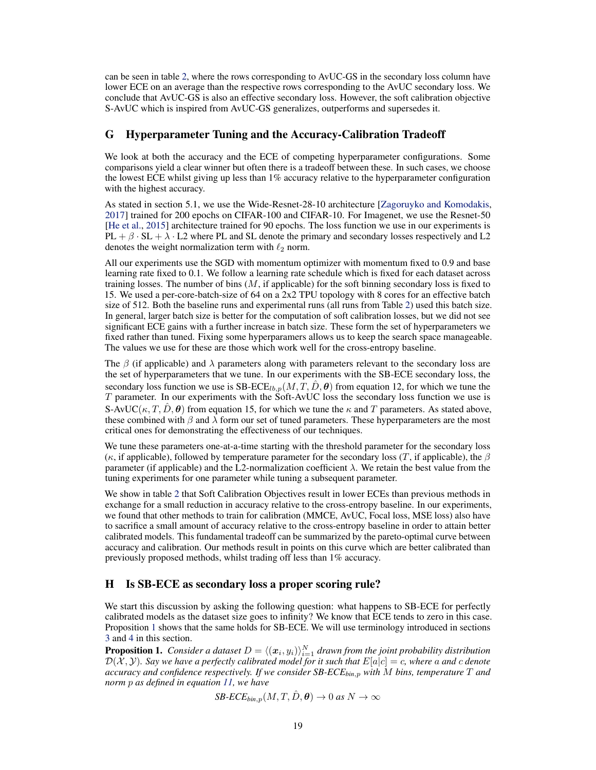can be seen in table [2,](#page-13-0) where the rows corresponding to AvUC-GS in the secondary loss column have lower ECE on an average than the respective rows corresponding to the AvUC secondary loss. We conclude that AvUC-GS is also an effective secondary loss. However, the soft calibration objective S-AvUC which is inspired from AvUC-GS generalizes, outperforms and supersedes it.

## <span id="page-18-0"></span>G Hyperparameter Tuning and the Accuracy-Calibration Tradeoff

We look at both the accuracy and the ECE of competing hyperparameter configurations. Some comparisons yield a clear winner but often there is a tradeoff between these. In such cases, we choose the lowest ECE whilst giving up less than 1% accuracy relative to the hyperparameter configuration with the highest accuracy.

As stated in section 5.1, we use the Wide-Resnet-28-10 architecture [\[Zagoruyko and Komodakis,](#page-11-17) [2017\]](#page-11-17) trained for 200 epochs on CIFAR-100 and CIFAR-10. For Imagenet, we use the Resnet-50 [\[He et al.,](#page-10-18) [2015\]](#page-10-18) architecture trained for 90 epochs. The loss function we use in our experiments is  $PL + \beta \cdot SL + \lambda \cdot L2$  where PL and SL denote the primary and secondary losses respectively and L2 denotes the weight normalization term with  $\ell_2$  norm.

All our experiments use the SGD with momentum optimizer with momentum fixed to 0.9 and base learning rate fixed to 0.1. We follow a learning rate schedule which is fixed for each dataset across training losses. The number of bins  $(M, if$  applicable) for the soft binning secondary loss is fixed to 15. We used a per-core-batch-size of 64 on a 2x2 TPU topology with 8 cores for an effective batch size of 512. Both the baseline runs and experimental runs (all runs from Table [2\)](#page-13-0) used this batch size. In general, larger batch size is better for the computation of soft calibration losses, but we did not see significant ECE gains with a further increase in batch size. These form the set of hyperparameters we fixed rather than tuned. Fixing some hyperparamers allows us to keep the search space manageable. The values we use for these are those which work well for the cross-entropy baseline.

The  $\beta$  (if applicable) and  $\lambda$  parameters along with parameters relevant to the secondary loss are the set of hyperparameters that we tune. In our experiments with the SB-ECE secondary loss, the secondary loss function we use is  $S\text{B-ECE}_{lb,p}(M, T, \hat{D}, \theta)$  from equation 12, for which we tune the T parameter. In our experiments with the Soft-AvUC loss the secondary loss function we use is S-AvUC( $\kappa, T, \hat{D}, \theta$ ) from equation 15, for which we tune the  $\kappa$  and T parameters. As stated above, these combined with  $\beta$  and  $\lambda$  form our set of tuned parameters. These hyperparameters are the most critical ones for demonstrating the effectiveness of our techniques.

We tune these parameters one-at-a-time starting with the threshold parameter for the secondary loss (κ, if applicable), followed by temperature parameter for the secondary loss (T, if applicable), the  $\beta$ parameter (if applicable) and the L2-normalization coefficient λ. We retain the best value from the tuning experiments for one parameter while tuning a subsequent parameter.

We show in table [2](#page-13-0) that Soft Calibration Objectives result in lower ECEs than previous methods in exchange for a small reduction in accuracy relative to the cross-entropy baseline. In our experiments, we found that other methods to train for calibration (MMCE, AvUC, Focal loss, MSE loss) also have to sacrifice a small amount of accuracy relative to the cross-entropy baseline in order to attain better calibrated models. This fundamental tradeoff can be summarized by the pareto-optimal curve between accuracy and calibration. Our methods result in points on this curve which are better calibrated than previously proposed methods, whilst trading off less than 1% accuracy.

## H Is SB-ECE as secondary loss a proper scoring rule?

We start this discussion by asking the following question: what happens to SB-ECE for perfectly calibrated models as the dataset size goes to infinity? We know that ECE tends to zero in this case. Proposition [1](#page-18-1) shows that the same holds for SB-ECE. We will use terminology introduced in sections [3](#page-3-7) and [4](#page-4-4) in this section.

<span id="page-18-1"></span>**Proposition 1.** Consider a dataset  $D = \langle (x_i, y_i) \rangle_{i=1}^N$  drawn from the joint probability distribution  $\mathcal{D}(\mathcal{X}, \mathcal{Y})$ . Say we have a perfectly calibrated model for it such that  $E[a|c] = c$ , where a and c denote *accuracy and confidence respectively. If we consider SB-ECEbin*,p *with* M *bins, temperature* T *and norm* p *as defined in equation [11,](#page-4-5) we have*

$$
SB\text{-}ECE_{bin,p}(M,T,\hat{D},\boldsymbol{\theta}) \to 0 \text{ as } N \to \infty
$$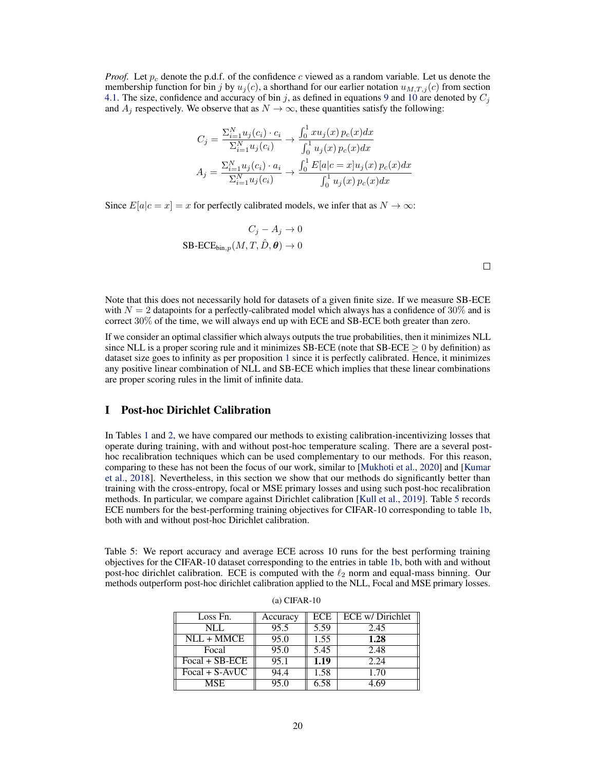*Proof.* Let  $p_c$  denote the p.d.f. of the confidence c viewed as a random variable. Let us denote the membership function for bin j by  $u_i(c)$ , a shorthand for our earlier notation  $u_{M,T,i}(c)$  from section [4.1.](#page-4-6) The size, confidence and accuracy of bin j, as defined in equations [9](#page-4-2) and [10](#page-4-3) are denoted by  $C_i$ and  $A_i$  respectively. We observe that as  $N \to \infty$ , these quantities satisfy the following:

$$
C_j = \frac{\sum_{i=1}^{N} u_j(c_i) \cdot c_i}{\sum_{i=1}^{N} u_j(c_i)} \to \frac{\int_0^1 x u_j(x) p_c(x) dx}{\int_0^1 u_j(x) p_c(x) dx}
$$

$$
A_j = \frac{\sum_{i=1}^{N} u_j(c_i) \cdot a_i}{\sum_{i=1}^{N} u_j(c_i)} \to \frac{\int_0^1 E[a|c = x] u_j(x) p_c(x) dx}{\int_0^1 u_j(x) p_c(x) dx}
$$

Since  $E[a|c = x] = x$  for perfectly calibrated models, we infer that as  $N \to \infty$ :

$$
C_j - A_j \to 0
$$
  
SB-ECE<sub>bin,p</sub> $(M, T, \hat{D}, \theta) \to 0$ 

Note that this does not necessarily hold for datasets of a given finite size. If we measure SB-ECE with  $N = 2$  datapoints for a perfectly-calibrated model which always has a confidence of 30% and is correct 30% of the time, we will always end up with ECE and SB-ECE both greater than zero.

If we consider an optimal classifier which always outputs the true probabilities, then it minimizes NLL since NLL is a proper scoring rule and it minimizes SB-ECE (note that SB-ECE  $\geq 0$  by definition) as dataset size goes to infinity as per proposition [1](#page-18-1) since it is perfectly calibrated. Hence, it minimizes any positive linear combination of NLL and SB-ECE which implies that these linear combinations are proper scoring rules in the limit of infinite data.

#### I Post-hoc Dirichlet Calibration

In Tables [1](#page-8-0) and [2,](#page-13-0) we have compared our methods to existing calibration-incentivizing losses that operate during training, with and without post-hoc temperature scaling. There are a several posthoc recalibration techniques which can be used complementary to our methods. For this reason, comparing to these has not been the focus of our work, similar to [\[Mukhoti et al.,](#page-11-4) [2020\]](#page-11-4) and [\[Kumar](#page-10-8) [et al.,](#page-10-8) [2018\]](#page-10-8). Nevertheless, in this section we show that our methods do significantly better than training with the cross-entropy, focal or MSE primary losses and using such post-hoc recalibration methods. In particular, we compare against Dirichlet calibration [\[Kull et al.,](#page-10-10) [2019\]](#page-10-10). Table [5](#page-19-0) records ECE numbers for the best-performing training objectives for CIFAR-10 corresponding to table [1b,](#page-8-0) both with and without post-hoc Dirichlet calibration.

<span id="page-19-0"></span>Table 5: We report accuracy and average ECE across 10 runs for the best performing training objectives for the CIFAR-10 dataset corresponding to the entries in table [1b,](#page-8-0) both with and without post-hoc dirichlet calibration. ECE is computed with the  $\ell_2$  norm and equal-mass binning. Our methods outperform post-hoc dirichlet calibration applied to the NLL, Focal and MSE primary losses.

| Loss Fn.         | Accuracy | ECE  | ECE w/ Dirichlet |
|------------------|----------|------|------------------|
| NLL              | 95.5     | 5.59 | 2.45             |
| $NLL + MMCE$     | 95.0     | 1.55 | 1.28             |
| Focal            | 95.0     | 5.45 | 2.48             |
| $Focal + SB-ECE$ | 95.1     | 1.19 | 2.24             |
| $Focal + S-AvUC$ | 94.4     | 1.58 | 1.70             |
| <b>MSE</b>       | 95.0     | 6.58 | 4 69             |